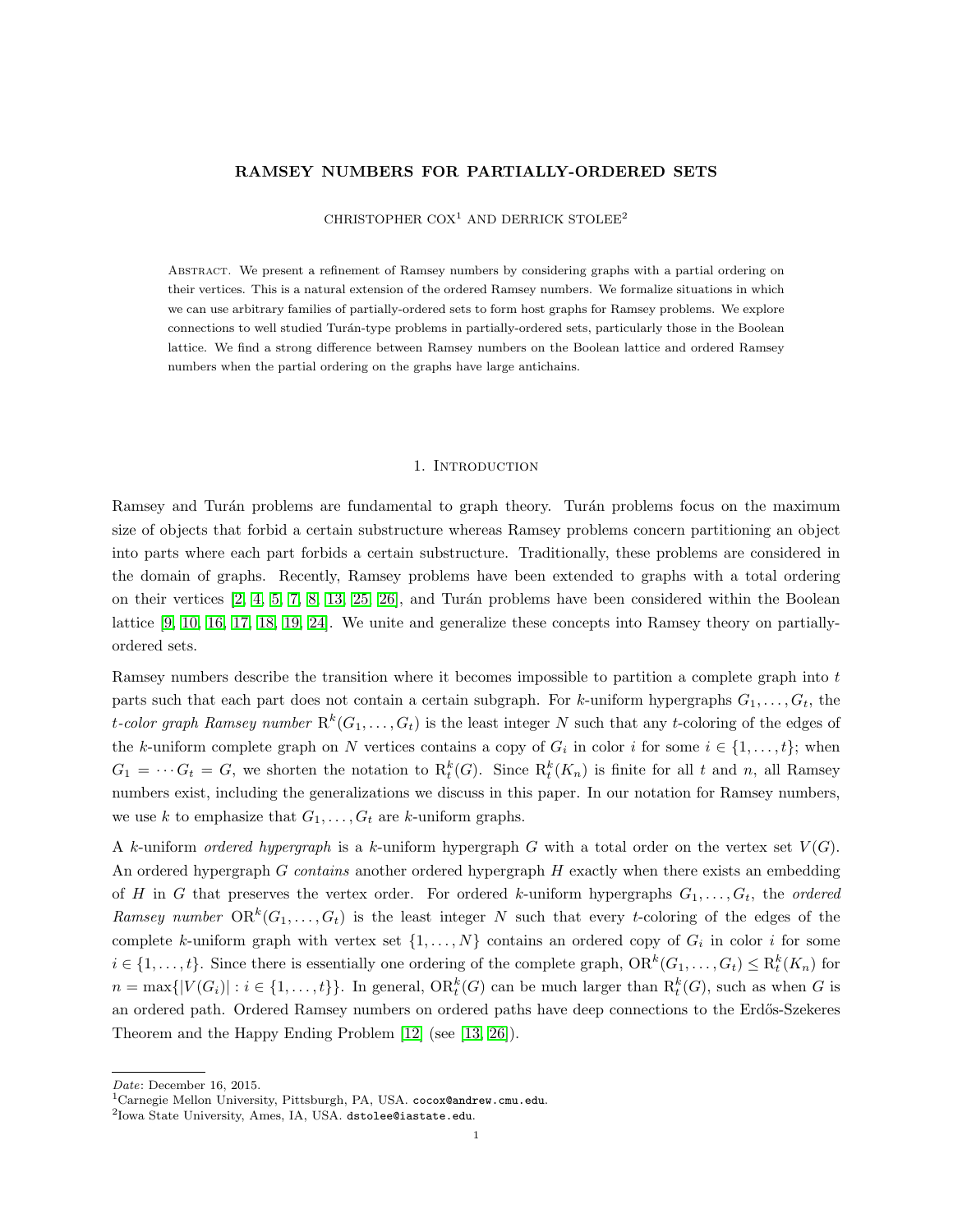## RAMSEY NUMBERS FOR PARTIALLY-ORDERED SETS

## CHRISTOPHER COX<sup>1</sup> AND DERRICK STOLEE<sup>2</sup>

Abstract. We present a refinement of Ramsey numbers by considering graphs with a partial ordering on their vertices. This is a natural extension of the ordered Ramsey numbers. We formalize situations in which we can use arbitrary families of partially-ordered sets to form host graphs for Ramsey problems. We explore connections to well studied Turán-type problems in partially-ordered sets, particularly those in the Boolean lattice. We find a strong difference between Ramsey numbers on the Boolean lattice and ordered Ramsey numbers when the partial ordering on the graphs have large antichains.

#### 1. INTRODUCTION

Ramsey and Turán problems are fundamental to graph theory. Turán problems focus on the maximum size of objects that forbid a certain substructure whereas Ramsey problems concern partitioning an object into parts where each part forbids a certain substructure. Traditionally, these problems are considered in the domain of graphs. Recently, Ramsey problems have been extended to graphs with a total ordering on their vertices [\[2,](#page-16-0) [4,](#page-16-1) [5,](#page-16-2) [7,](#page-17-0) [8,](#page-17-1) [13,](#page-17-2) [25,](#page-17-3) [26\]](#page-17-4), and Turán problems have been considered within the Boolean lattice [\[9,](#page-17-5) [10,](#page-17-6) [16,](#page-17-7) [17,](#page-17-8) [18,](#page-17-9) [19,](#page-17-10) [24\]](#page-17-11). We unite and generalize these concepts into Ramsey theory on partiallyordered sets.

Ramsey numbers describe the transition where it becomes impossible to partition a complete graph into t parts such that each part does not contain a certain subgraph. For k-uniform hypergraphs  $G_1, \ldots, G_t$ , the t-color graph Ramsey number  $R^k(G_1,\ldots,G_t)$  is the least integer N such that any t-coloring of the edges of the k-uniform complete graph on N vertices contains a copy of  $G_i$  in color i for some  $i \in \{1, \ldots, t\}$ ; when  $G_1 = \cdots G_t = G$ , we shorten the notation to  $R_t^k(G)$ . Since  $R_t^k(K_n)$  is finite for all t and n, all Ramsey numbers exist, including the generalizations we discuss in this paper. In our notation for Ramsey numbers, we use k to emphasize that  $G_1, \ldots, G_t$  are k-uniform graphs.

A k-uniform ordered hypergraph is a k-uniform hypergraph G with a total order on the vertex set  $V(G)$ . An ordered hypergraph  $G$  contains another ordered hypergraph  $H$  exactly when there exists an embedding of H in G that preserves the vertex order. For ordered k-uniform hypergraphs  $G_1, \ldots, G_t$ , the ordered Ramsey number  $OR^k(G_1, ..., G_t)$  is the least integer N such that every t-coloring of the edges of the complete k-uniform graph with vertex set  $\{1, \ldots, N\}$  contains an ordered copy of  $G_i$  in color i for some  $i \in \{1, \ldots, t\}$ . Since there is essentially one ordering of the complete graph,  $\text{OR}^k(G_1, \ldots, G_t) \leq \text{R}_t^k(K_n)$  for  $n = \max\{|V(G_i)| : i \in \{1, ..., t\}\}\.$  In general,  $\text{OR}_t^k(G)$  can be much larger than  $R_t^k(G)$ , such as when G is an ordered path. Ordered Ramsey numbers on ordered paths have deep connections to the Erdős-Szekeres Theorem and the Happy Ending Problem [\[12\]](#page-17-12) (see [\[13,](#page-17-2) [26\]](#page-17-4)).

Date: December 16, 2015.

<sup>&</sup>lt;sup>1</sup>Carnegie Mellon University, Pittsburgh, PA, USA. cocox@andrew.cmu.edu.

 $^{2}$ Iowa State University, Ames, IA, USA. dstolee@iastate.edu.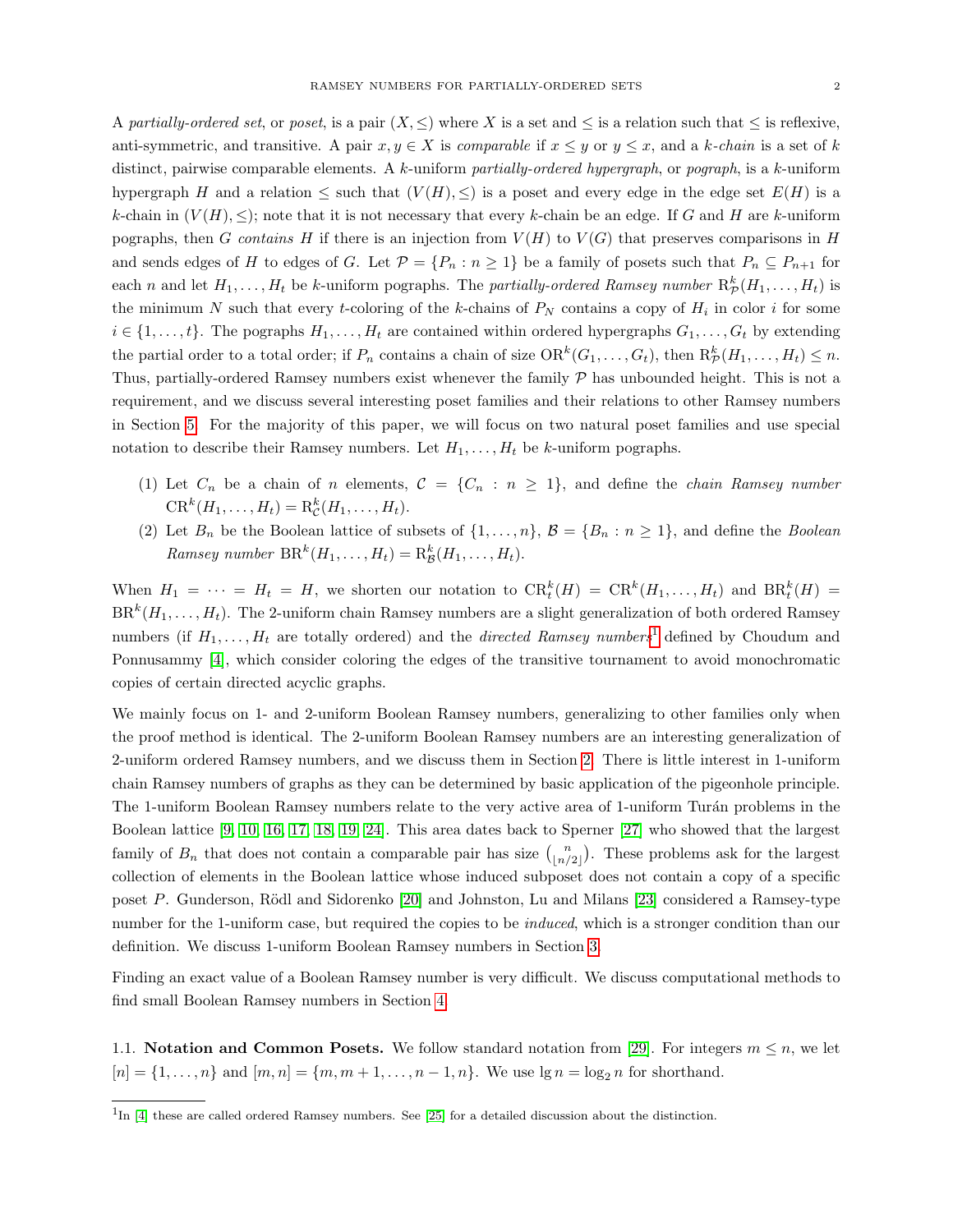A partially-ordered set, or poset, is a pair  $(X, \leq)$  where X is a set and  $\leq$  is a relation such that  $\leq$  is reflexive, anti-symmetric, and transitive. A pair  $x, y \in X$  is comparable if  $x \leq y$  or  $y \leq x$ , and a k-chain is a set of k distinct, pairwise comparable elements. A k-uniform partially-ordered hypergraph, or pograph, is a k-uniform hypergraph H and a relation  $\leq$  such that  $(V(H), \leq)$  is a poset and every edge in the edge set  $E(H)$  is a k-chain in  $(V(H), \leq)$ ; note that it is not necessary that every k-chain be an edge. If G and H are k-uniform pographs, then G contains H if there is an injection from  $V(H)$  to  $V(G)$  that preserves comparisons in H and sends edges of H to edges of G. Let  $\mathcal{P} = \{P_n : n \geq 1\}$  be a family of posets such that  $P_n \subseteq P_{n+1}$  for each n and let  $H_1, \ldots, H_t$  be k-uniform pographs. The partially-ordered Ramsey number  $\mathrm{R}^k_{\mathcal{P}}(H_1, \ldots, H_t)$  is the minimum N such that every t-coloring of the k-chains of  $P_N$  contains a copy of  $H_i$  in color i for some  $i \in \{1, \ldots, t\}$ . The pographs  $H_1, \ldots, H_t$  are contained within ordered hypergraphs  $G_1, \ldots, G_t$  by extending the partial order to a total order; if  $P_n$  contains a chain of size  $OR^k(G_1, \ldots, G_t)$ , then  $R^k_{\mathcal{P}}(H_1, \ldots, H_t) \leq n$ . Thus, partially-ordered Ramsey numbers exist whenever the family  $P$  has unbounded height. This is not a requirement, and we discuss several interesting poset families and their relations to other Ramsey numbers in Section [5.](#page-14-0) For the majority of this paper, we will focus on two natural poset families and use special notation to describe their Ramsey numbers. Let  $H_1, \ldots, H_t$  be k-uniform pographs.

- (1) Let  $C_n$  be a chain of n elements,  $C = \{C_n : n \geq 1\}$ , and define the *chain Ramsey number*  $CR^{k}(H_1, ..., H_t) = R_{\mathcal{C}}^{k}(H_1, ..., H_t).$
- (2) Let  $B_n$  be the Boolean lattice of subsets of  $\{1, \ldots, n\}$ ,  $\mathcal{B} = \{B_n : n \geq 1\}$ , and define the *Boolean* Ramsey number  $BR^k(H_1, ..., H_t) = R_{\mathcal{B}}^k(H_1, ..., H_t)$ .

When  $H_1 = \cdots = H_t = H$ , we shorten our notation to  $\text{CR}_t^k(H) = \text{CR}^k(H_1, \ldots, H_t)$  and  $\text{BR}_t^k(H) =$  $\text{BR}^k(H_1, \ldots, H_t)$ . The 2-uniform chain Ramsey numbers are a slight generalization of both ordered Ramsey numbers (if  $H_1, \ldots, H_t$  $H_1, \ldots, H_t$  $H_1, \ldots, H_t$  are totally ordered) and the *directed Ramsey numbers*<sup>1</sup> defined by Choudum and Ponnusammy [\[4\]](#page-16-1), which consider coloring the edges of the transitive tournament to avoid monochromatic copies of certain directed acyclic graphs.

We mainly focus on 1- and 2-uniform Boolean Ramsey numbers, generalizing to other families only when the proof method is identical. The 2-uniform Boolean Ramsey numbers are an interesting generalization of 2-uniform ordered Ramsey numbers, and we discuss them in Section [2.](#page-3-0) There is little interest in 1-uniform chain Ramsey numbers of graphs as they can be determined by basic application of the pigeonhole principle. The 1-uniform Boolean Ramsey numbers relate to the very active area of 1-uniform Turán problems in the Boolean lattice [\[9,](#page-17-5) [10,](#page-17-6) [16,](#page-17-7) [17,](#page-17-8) [18,](#page-17-9) [19,](#page-17-10) [24\]](#page-17-11). This area dates back to Sperner [\[27\]](#page-17-13) who showed that the largest family of  $B_n$  that does not contain a comparable pair has size  $\binom{n}{\lfloor n/2 \rfloor}$ . These problems ask for the largest collection of elements in the Boolean lattice whose induced subposet does not contain a copy of a specific poset P. Gunderson, Rödl and Sidorenko [\[20\]](#page-17-14) and Johnston, Lu and Milans [\[23\]](#page-17-15) considered a Ramsey-type number for the 1-uniform case, but required the copies to be *induced*, which is a stronger condition than our definition. We discuss 1-uniform Boolean Ramsey numbers in Section [3.](#page-8-0)

Finding an exact value of a Boolean Ramsey number is very difficult. We discuss computational methods to find small Boolean Ramsey numbers in Section [4.](#page-13-0)

1.1. **Notation and Common Posets.** We follow standard notation from [\[29\]](#page-17-16). For integers  $m \leq n$ , we let  $[n] = \{1, ..., n\}$  and  $[m, n] = \{m, m + 1, ..., n - 1, n\}$ . We use  $\lg n = \log_2 n$  for shorthand.

<span id="page-1-0"></span><sup>&</sup>lt;sup>1</sup>In [\[4\]](#page-16-1) these are called ordered Ramsey numbers. See [\[25\]](#page-17-3) for a detailed discussion about the distinction.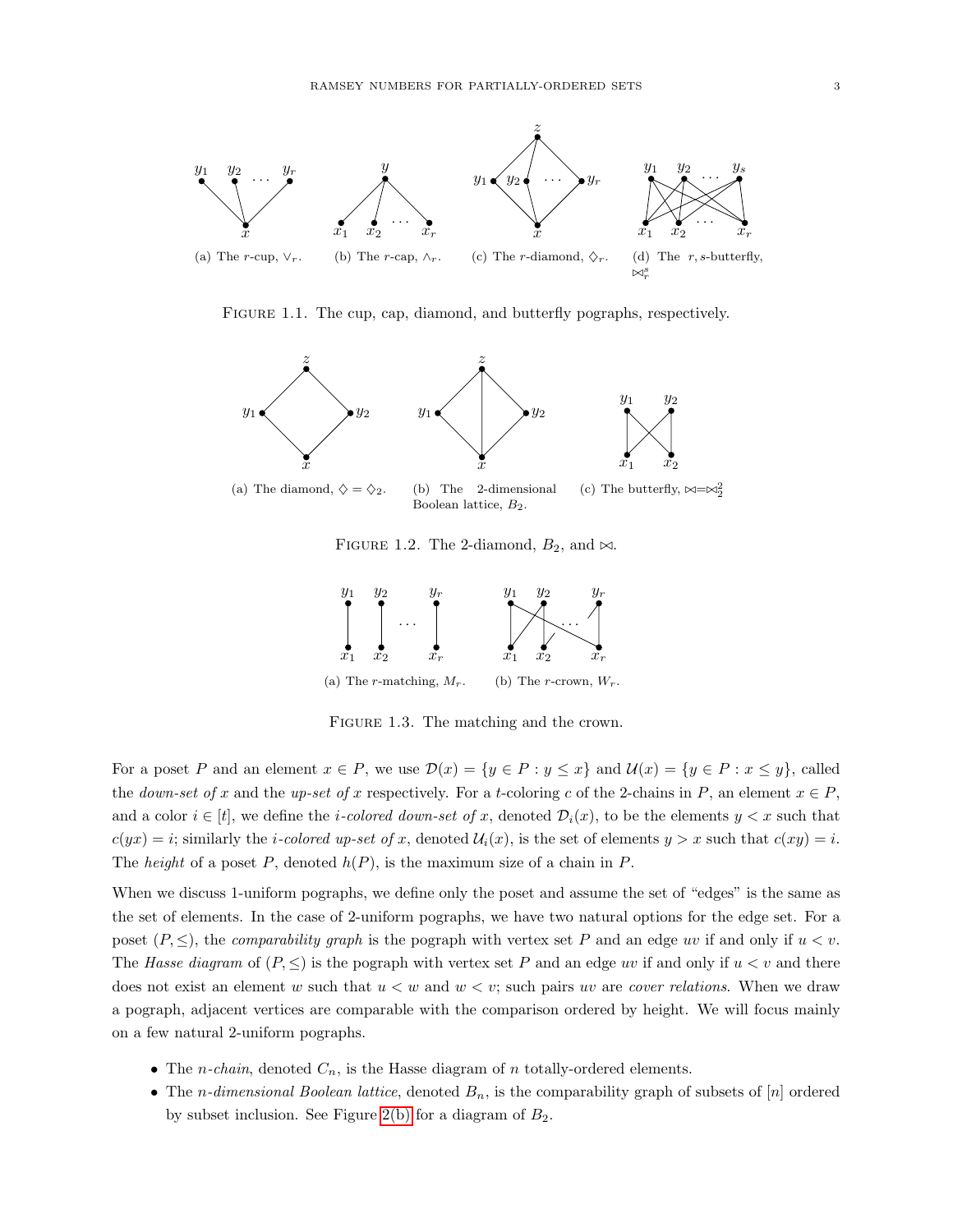<span id="page-2-1"></span>

<span id="page-2-5"></span><span id="page-2-3"></span><span id="page-2-2"></span>FIGURE 1.1. The cup, cap, diamond, and butterfly pographs, respectively.

<span id="page-2-4"></span>

<span id="page-2-6"></span><span id="page-2-0"></span>FIGURE 1.2. The 2-diamond,  $B_2$ , and  $\bowtie$ .



<span id="page-2-8"></span>FIGURE 1.3. The matching and the crown.

<span id="page-2-7"></span>For a poset P and an element  $x \in P$ , we use  $\mathcal{D}(x) = \{y \in P : y \leq x\}$  and  $\mathcal{U}(x) = \{y \in P : x \leq y\}$ , called the *down-set of* x and the up-set of x respectively. For a t-coloring c of the 2-chains in P, an element  $x \in P$ , and a color  $i \in [t]$ , we define the *i-colored down-set of x*, denoted  $\mathcal{D}_i(x)$ , to be the elements  $y < x$  such that  $c(yx) = i$ ; similarly the *i-colored up-set of x*, denoted  $\mathcal{U}_i(x)$ , is the set of elements  $y > x$  such that  $c(xy) = i$ . The *height* of a poset P, denoted  $h(P)$ , is the maximum size of a chain in P.

When we discuss 1-uniform pographs, we define only the poset and assume the set of "edges" is the same as the set of elements. In the case of 2-uniform pographs, we have two natural options for the edge set. For a poset  $(P, \leq)$ , the *comparability graph* is the pograph with vertex set P and an edge uv if and only if  $u < v$ . The Hasse diagram of  $(P, \leq)$  is the pograph with vertex set P and an edge uv if and only if  $u < v$  and there does not exist an element w such that  $u < w$  and  $w < v$ ; such pairs uv are *cover relations*. When we draw a pograph, adjacent vertices are comparable with the comparison ordered by height. We will focus mainly on a few natural 2-uniform pographs.

- The *n-chain*, denoted  $C_n$ , is the Hasse diagram of *n* totally-ordered elements.
- The *n*-dimensional Boolean lattice, denoted  $B_n$ , is the comparability graph of subsets of [n] ordered by subset inclusion. See Figure [2\(b\)](#page-2-0) for a diagram of  $B_2$ .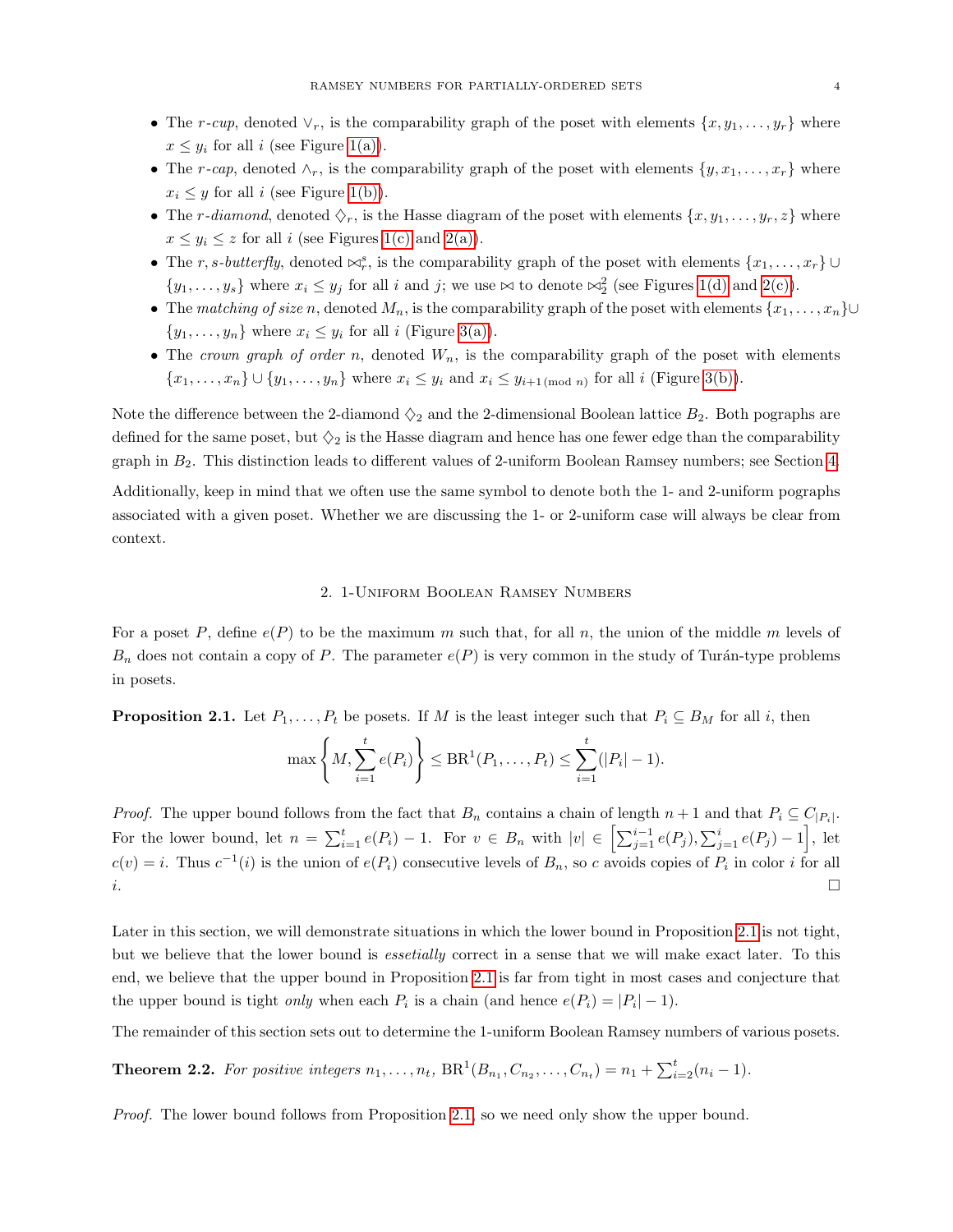- The r-cup, denoted  $\vee_r$ , is the comparability graph of the poset with elements  $\{x, y_1, \ldots, y_r\}$  where  $x \leq y_i$  for all i (see Figure [1\(a\)\)](#page-2-1).
- The r-cap, denoted  $\wedge_r$ , is the comparability graph of the poset with elements  $\{y, x_1, \ldots, x_r\}$  where  $x_i \leq y$  for all i (see Figure [1\(b\)\)](#page-2-2).
- The r-diamond, denoted  $\Diamond_r$ , is the Hasse diagram of the poset with elements  $\{x, y_1, \ldots, y_r, z\}$  where  $x \leq y_i \leq z$  for all i (see Figures [1\(c\)](#page-2-3) and [2\(a\)\)](#page-2-4).
- The r, s-butterfly, denoted  $\bowtie_r^s$ , is the comparability graph of the poset with elements  $\{x_1, \ldots, x_r\}$  $\{y_1, \ldots, y_s\}$  where  $x_i \leq y_j$  for all i and j; we use  $\bowtie$  to denote  $\bowtie_2^2$  (see Figures [1\(d\)](#page-2-5) and [2\(c\)\)](#page-2-6).
- The matching of size n, denoted  $M_n$ , is the comparability graph of the poset with elements  $\{x_1, \ldots, x_n\}$ ∪  $\{y_1, \ldots, y_n\}$  where  $x_i \leq y_i$  for all i (Figure [3\(a\)\)](#page-2-7).
- The crown graph of order n, denoted  $W_n$ , is the comparability graph of the poset with elements  $\{x_1, \ldots, x_n\} \cup \{y_1, \ldots, y_n\}$  where  $x_i \leq y_i$  and  $x_i \leq y_{i+1 \pmod{n}}$  for all i (Figure [3\(b\)\)](#page-2-8).

Note the difference between the 2-diamond  $\Diamond_2$  and the 2-dimensional Boolean lattice  $B_2$ . Both pographs are defined for the same poset, but  $\Diamond_2$  is the Hasse diagram and hence has one fewer edge than the comparability graph in  $B_2$ . This distinction leads to different values of 2-uniform Boolean Ramsey numbers; see Section [4.](#page-13-0)

Additionally, keep in mind that we often use the same symbol to denote both the 1- and 2-uniform pographs associated with a given poset. Whether we are discussing the 1- or 2-uniform case will always be clear from context.

# 2. 1-Uniform Boolean Ramsey Numbers

<span id="page-3-0"></span>For a poset P, define  $e(P)$  to be the maximum m such that, for all n, the union of the middle m levels of  $B_n$  does not contain a copy of P. The parameter  $e(P)$  is very common in the study of Turán-type problems in posets.

<span id="page-3-1"></span>**Proposition 2.1.** Let  $P_1, \ldots, P_t$  be posets. If M is the least integer such that  $P_i \subseteq B_M$  for all i, then

$$
\max\left\{M, \sum_{i=1}^t e(P_i)\right\} \leq \text{BR}^1(P_1, \dots, P_t) \leq \sum_{i=1}^t (|P_i| - 1).
$$

*Proof.* The upper bound follows from the fact that  $B_n$  contains a chain of length  $n+1$  and that  $P_i \subseteq C_{|P_i|}$ . For the lower bound, let  $n = \sum_{i=1}^{t} e(P_i) - 1$ . For  $v \in B_n$  with  $|v| \in \left[\sum_{j=1}^{i-1} e(P_j), \sum_{j=1}^{i} e(P_j) - 1\right]$ , let  $c(v) = i$ . Thus  $c^{-1}(i)$  is the union of  $e(P_i)$  consecutive levels of  $B_n$ , so c avoids copies of  $P_i$  in color i for all  $i.$ 

Later in this section, we will demonstrate situations in which the lower bound in Proposition [2.1](#page-3-1) is not tight, but we believe that the lower bound is *essetially* correct in a sense that we will make exact later. To this end, we believe that the upper bound in Proposition [2.1](#page-3-1) is far from tight in most cases and conjecture that the upper bound is tight *only* when each  $P_i$  is a chain (and hence  $e(P_i) = |P_i| - 1$ ).

The remainder of this section sets out to determine the 1-uniform Boolean Ramsey numbers of various posets.

**Theorem 2.2.** For positive integers  $n_1, \ldots, n_t$ ,  $BR^1(B_{n_1}, C_{n_2}, \ldots, C_{n_t}) = n_1 + \sum_{i=2}^t (n_i - 1)$ .

Proof. The lower bound follows from Proposition [2.1,](#page-3-1) so we need only show the upper bound.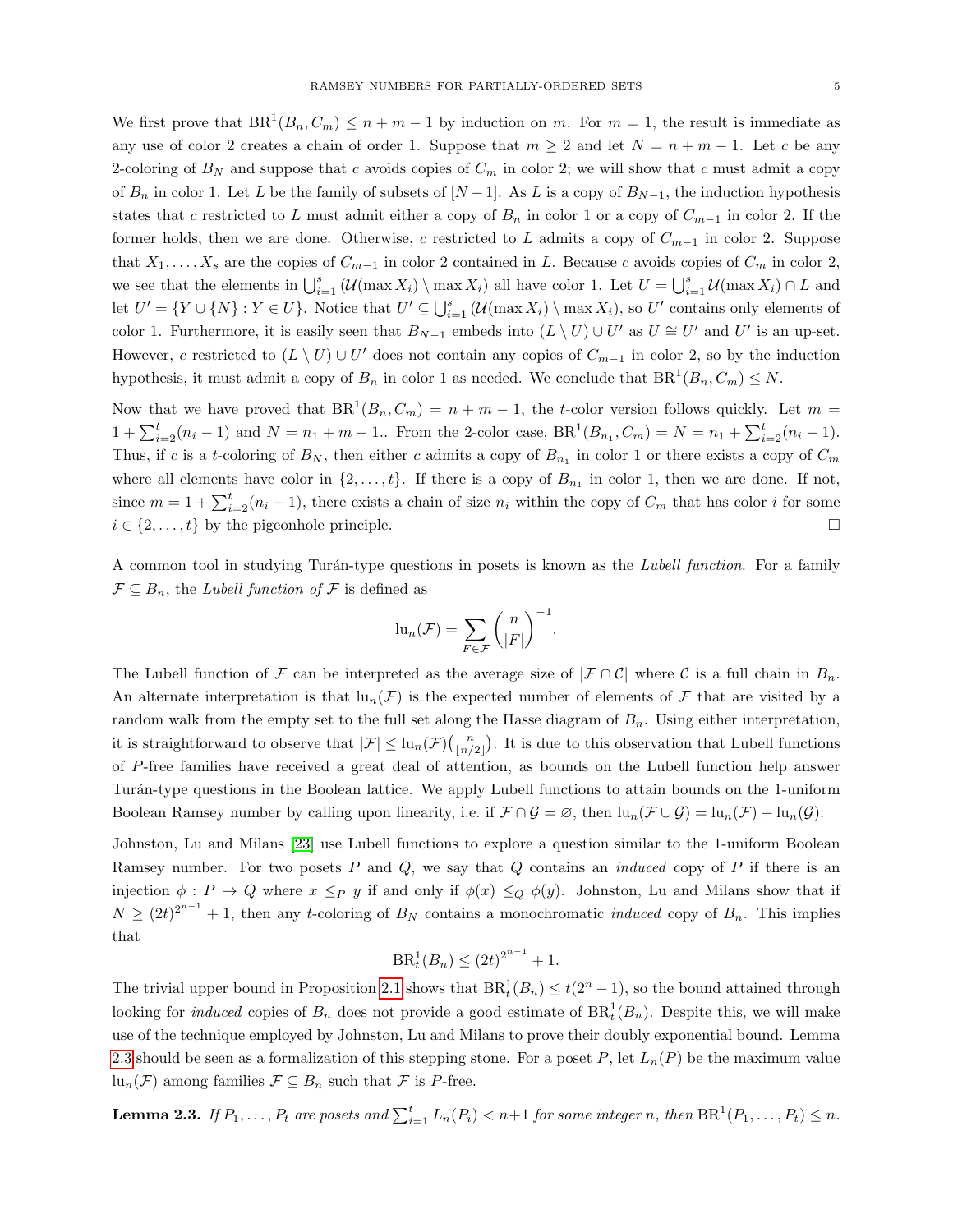We first prove that  $BR^1(B_n, C_m) \leq n+m-1$  by induction on m. For  $m=1$ , the result is immediate as any use of color 2 creates a chain of order 1. Suppose that  $m \ge 2$  and let  $N = n + m - 1$ . Let c be any 2-coloring of  $B<sub>N</sub>$  and suppose that c avoids copies of  $C<sub>m</sub>$  in color 2; we will show that c must admit a copy of  $B_n$  in color 1. Let L be the family of subsets of  $[N-1]$ . As L is a copy of  $B_{N-1}$ , the induction hypothesis states that c restricted to L must admit either a copy of  $B_n$  in color 1 or a copy of  $C_{m-1}$  in color 2. If the former holds, then we are done. Otherwise, c restricted to L admits a copy of  $C_{m-1}$  in color 2. Suppose that  $X_1, \ldots, X_s$  are the copies of  $C_{m-1}$  in color 2 contained in L. Because c avoids copies of  $C_m$  in color 2, we see that the elements in  $\bigcup_{i=1}^s (\mathcal{U}(\max X_i) \setminus \max X_i)$  all have color 1. Let  $U = \bigcup_{i=1}^s \mathcal{U}(\max X_i) \cap L$  and let  $U' = \{Y \cup \{N\} : Y \in U\}$ . Notice that  $U' \subseteq \bigcup_{i=1}^s (\mathcal{U}(\max X_i) \setminus \max X_i)$ , so  $U'$  contains only elements of color 1. Furthermore, it is easily seen that  $B_{N-1}$  embeds into  $(L \setminus U) \cup U'$  as  $U \cong U'$  and  $U'$  is an up-set. However, c restricted to  $(L \setminus U) \cup U'$  does not contain any copies of  $C_{m-1}$  in color 2, so by the induction hypothesis, it must admit a copy of  $B_n$  in color 1 as needed. We conclude that  $BR^1(B_n, C_m) \leq N$ .

Now that we have proved that  $BR^1(B_n, C_m) = n + m - 1$ , the t-color version follows quickly. Let  $m =$  $1 + \sum_{i=2}^{t} (n_i - 1)$  and  $N = n_1 + m - 1$ .. From the 2-color case,  $BR^1(B_{n_1}, C_m) = N = n_1 + \sum_{i=2}^{t} (n_i - 1)$ . Thus, if c is a t-coloring of  $B_N$ , then either c admits a copy of  $B_{n_1}$  in color 1 or there exists a copy of  $C_m$ where all elements have color in  $\{2, \ldots, t\}$ . If there is a copy of  $B_{n_1}$  in color 1, then we are done. If not, since  $m = 1 + \sum_{i=2}^{t} (n_i - 1)$ , there exists a chain of size  $n_i$  within the copy of  $C_m$  that has color i for some  $i \in \{2, \ldots, t\}$  by the pigeonhole principle.

A common tool in studying Turán-type questions in posets is known as the *Lubell function*. For a family  $\mathcal{F} \subseteq B_n$ , the *Lubell function of*  $\mathcal{F}$  is defined as

$$
\mathrm{lu}_n(\mathcal{F}) = \sum_{F \in \mathcal{F}} \binom{n}{|F|}^{-1}.
$$

The Lubell function of F can be interpreted as the average size of  $|\mathcal{F} \cap \mathcal{C}|$  where C is a full chain in  $B_n$ . An alternate interpretation is that  $\ln_n(\mathcal{F})$  is the expected number of elements of  $\mathcal{F}$  that are visited by a random walk from the empty set to the full set along the Hasse diagram of  $B_n$ . Using either interpretation, it is straightforward to observe that  $|\mathcal{F}| \leq \ln_n(\mathcal{F}) {n \choose \lfloor n/2 \rfloor}$ . It is due to this observation that Lubell functions of P-free families have received a great deal of attention, as bounds on the Lubell function help answer Tur´an-type questions in the Boolean lattice. We apply Lubell functions to attain bounds on the 1-uniform Boolean Ramsey number by calling upon linearity, i.e. if  $\mathcal{F} \cap \mathcal{G} = \emptyset$ , then  $\text{lu}_n(\mathcal{F} \cup \mathcal{G}) = \text{lu}_n(\mathcal{F}) + \text{lu}_n(\mathcal{G})$ .

Johnston, Lu and Milans [\[23\]](#page-17-15) use Lubell functions to explore a question similar to the 1-uniform Boolean Ramsey number. For two posets  $P$  and  $Q$ , we say that  $Q$  contains an *induced* copy of  $P$  if there is an injection  $\phi : P \to Q$  where  $x \leq_P y$  if and only if  $\phi(x) \leq_Q \phi(y)$ . Johnston, Lu and Milans show that if  $N \geq (2t)^{2^{n-1}} + 1$ , then any t-coloring of  $B_N$  contains a monochromatic *induced* copy of  $B_n$ . This implies that

$$
BR_t^1(B_n) \le (2t)^{2^{n-1}} + 1.
$$

The trivial upper bound in Proposition [2.1](#page-3-1) shows that  $BR_t^1(B_n) \leq t(2^n - 1)$ , so the bound attained through looking for *induced* copies of  $B_n$  does not provide a good estimate of  $BR_t^1(B_n)$ . Despite this, we will make use of the technique employed by Johnston, Lu and Milans to prove their doubly exponential bound. Lemma [2.3](#page-4-0) should be seen as a formalization of this stepping stone. For a poset P, let  $L_n(P)$  be the maximum value  $\text{lu}_n(\mathcal{F})$  among families  $\mathcal{F} \subseteq B_n$  such that  $\mathcal{F}$  is P-free.

<span id="page-4-0"></span>**Lemma 2.3.** If  $P_1, \ldots, P_t$  are posets and  $\sum_{i=1}^t L_n(P_i) < n+1$  for some integer n, then  $\text{BR}^1(P_1, \ldots, P_t) \leq n$ .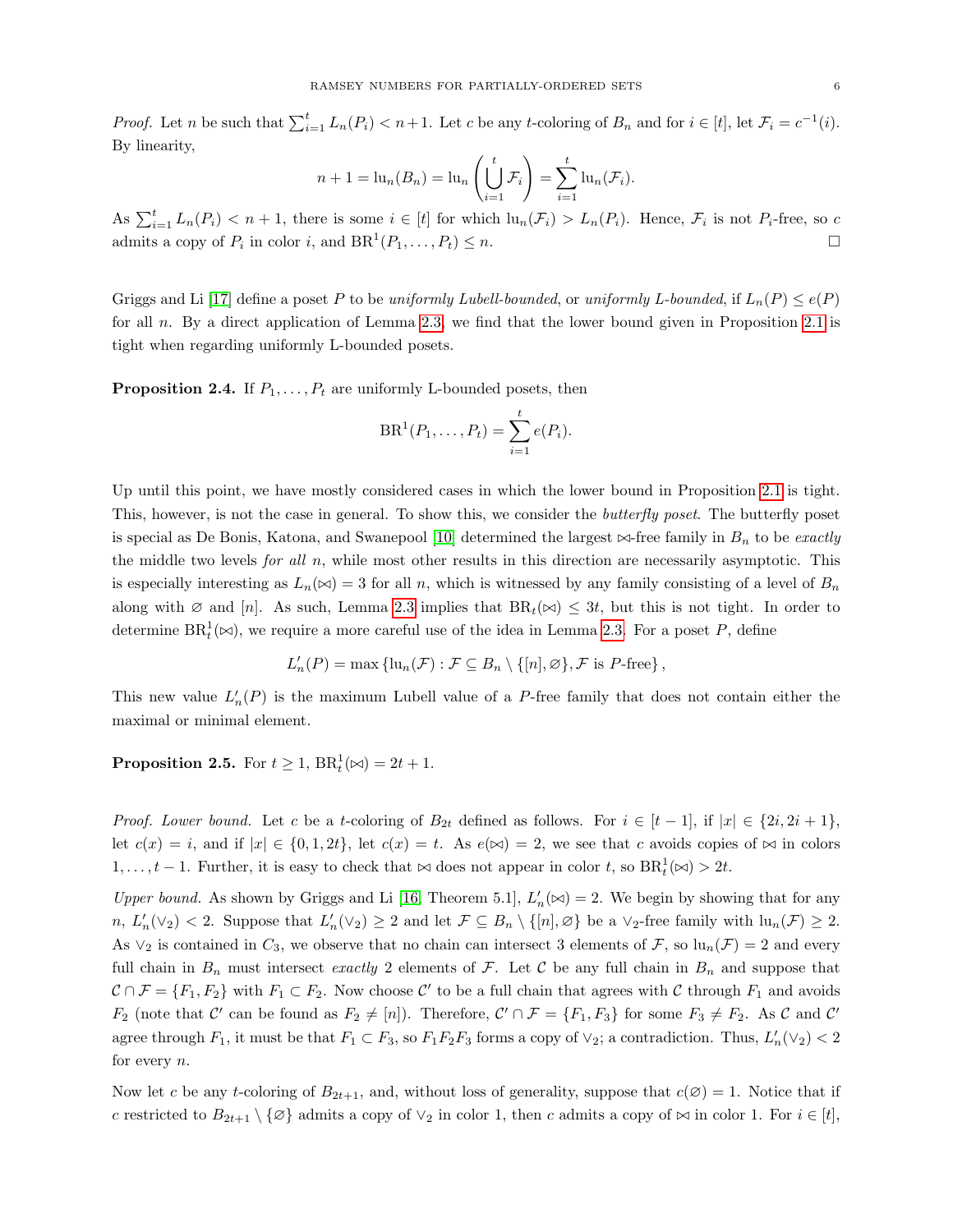*Proof.* Let n be such that  $\sum_{i=1}^{t} L_n(P_i) < n+1$ . Let c be any t-coloring of  $B_n$  and for  $i \in [t]$ , let  $\mathcal{F}_i = c^{-1}(i)$ . By linearity,

$$
n+1 = \mathrm{lu}_n(B_n) = \mathrm{lu}_n\left(\bigcup_{i=1}^t \mathcal{F}_i\right) = \sum_{i=1}^t \mathrm{lu}_n(\mathcal{F}_i).
$$

As  $\sum_{i=1}^t L_n(P_i) < n+1$ , there is some  $i \in [t]$  for which  $\text{lu}_n(\mathcal{F}_i) > L_n(P_i)$ . Hence,  $\mathcal{F}_i$  is not  $P_i$ -free, so c admits a copy of  $P_i$  in color i, and  $BR^1(P_1, \ldots, P_t) \leq n$ .

Griggs and Li [\[17\]](#page-17-8) define a poset P to be uniformly Lubell-bounded, or uniformly L-bounded, if  $L_n(P) \leq e(P)$ for all n. By a direct application of Lemma [2.3,](#page-4-0) we find that the lower bound given in Proposition [2.1](#page-3-1) is tight when regarding uniformly L-bounded posets.

**Proposition 2.4.** If  $P_1, \ldots, P_t$  are uniformly L-bounded posets, then

$$
BR^1(P_1, ..., P_t) = \sum_{i=1}^t e(P_i).
$$

Up until this point, we have mostly considered cases in which the lower bound in Proposition [2.1](#page-3-1) is tight. This, however, is not the case in general. To show this, we consider the *butterfly poset*. The butterfly poset is special as De Bonis, Katona, and Swanepool [\[10\]](#page-17-6) determined the largest  $\bowtie$ -free family in  $B_n$  to be exactly the middle two levels *for all n*, while most other results in this direction are necessarily asymptotic. This is especially interesting as  $L_n(\infty) = 3$  for all n, which is witnessed by any family consisting of a level of  $B_n$ along with  $\emptyset$  and [n]. As such, Lemma [2.3](#page-4-0) implies that  $BR_t(\bowtie) \leq 3t$ , but this is not tight. In order to determine  $BR_t^1(\bowtie)$ , we require a more careful use of the idea in Lemma [2.3.](#page-4-0) For a poset P, define

$$
L'_n(P) = \max \{ \text{lu}_n(\mathcal{F}) : \mathcal{F} \subseteq B_n \setminus \{ [n], \emptyset \}, \mathcal{F} \text{ is } P\text{-free} \},
$$

This new value  $L'_n(P)$  is the maximum Lubell value of a P-free family that does not contain either the maximal or minimal element.

**Proposition 2.5.** For  $t \geq 1$ ,  $BR_t^1(\bowtie) = 2t + 1$ .

*Proof. Lower bound.* Let c be a t-coloring of  $B_{2t}$  defined as follows. For  $i \in [t-1]$ , if  $|x| \in \{2i, 2i+1\}$ , let  $c(x) = i$ , and if  $|x| \in \{0, 1, 2t\}$ , let  $c(x) = t$ . As  $e(x) = 2$ , we see that c avoids copies of  $\bowtie$  in colors  $1, \ldots, t-1$ . Further, it is easy to check that  $\bowtie$  does not appear in color t, so  $BR_t^1(\bowtie) > 2t$ .

Upper bound. As shown by Griggs and Li [\[16,](#page-17-7) Theorem 5.1],  $L'_n(\infty) = 2$ . We begin by showing that for any  $n, L'_n(\vee_2) < 2$ . Suppose that  $L'_n(\vee_2) \geq 2$  and let  $\mathcal{F} \subseteq B_n \setminus \{[n], \varnothing\}$  be a  $\vee_2$ -free family with  $\text{lu}_n(\mathcal{F}) \geq 2$ . As  $\vee_2$  is contained in  $C_3$ , we observe that no chain can intersect 3 elements of F, so  $\ln_n(\mathcal{F}) = 2$  and every full chain in  $B_n$  must intersect exactly 2 elements of F. Let C be any full chain in  $B_n$  and suppose that  $\mathcal{C} \cap \mathcal{F} = \{F_1, F_2\}$  with  $F_1 \subset F_2$ . Now choose  $\mathcal{C}'$  to be a full chain that agrees with  $\mathcal{C}$  through  $F_1$  and avoids  $F_2$  (note that C' can be found as  $F_2 \neq [n]$ ). Therefore,  $C' \cap \mathcal{F} = \{F_1, F_3\}$  for some  $F_3 \neq F_2$ . As C and C' agree through  $F_1$ , it must be that  $F_1 \subset F_3$ , so  $F_1F_2F_3$  forms a copy of  $\vee_2$ ; a contradiction. Thus,  $L'_n(\vee_2) < 2$ for every  $n$ .

Now let c be any t-coloring of  $B_{2t+1}$ , and, without loss of generality, suppose that  $c(\emptyset) = 1$ . Notice that if c restricted to  $B_{2t+1} \setminus \{\varnothing\}$  admits a copy of  $\vee_2$  in color 1, then c admits a copy of  $\bowtie$  in color 1. For  $i \in [t],$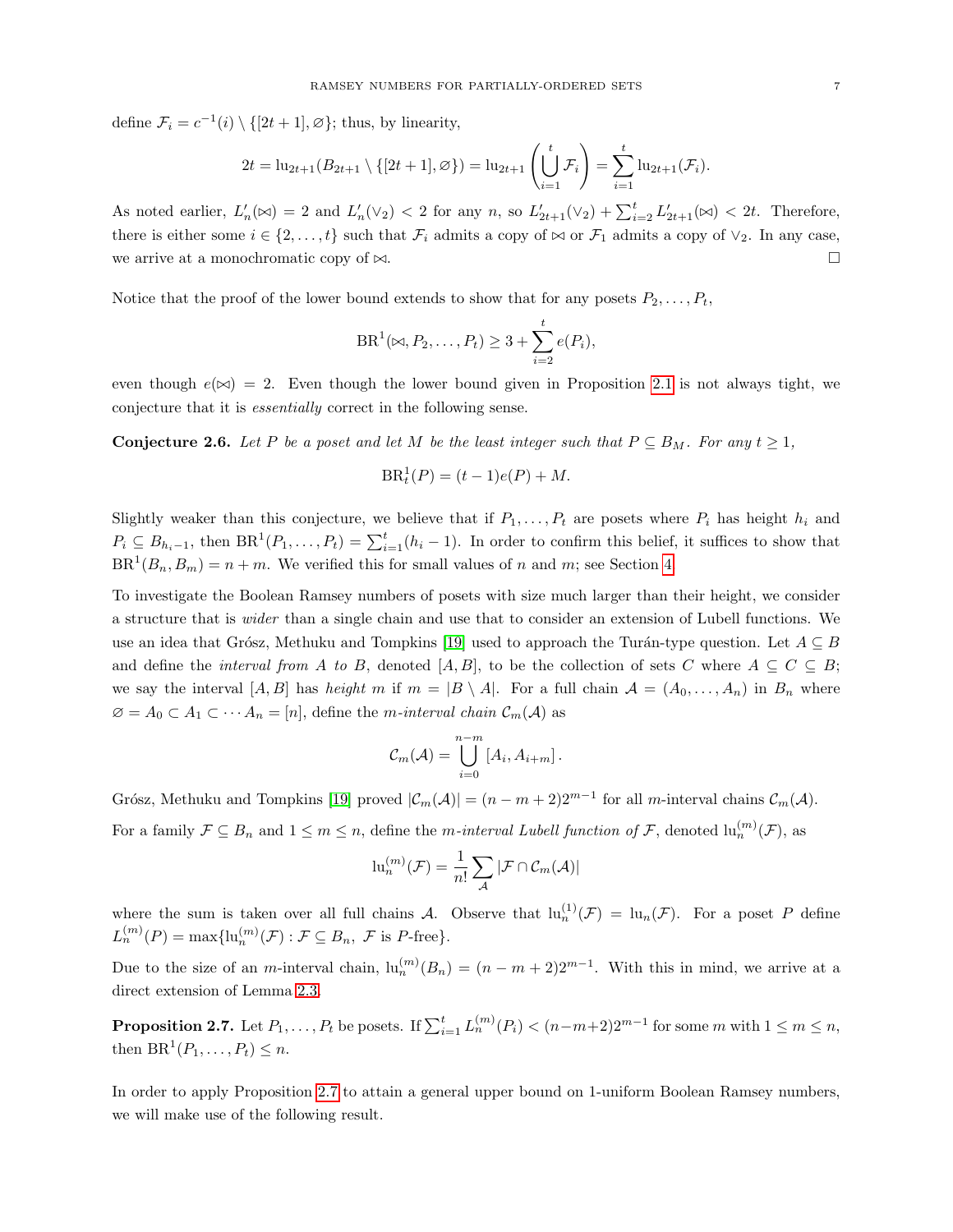define  $\mathcal{F}_i = c^{-1}(i) \setminus \{[2t+1], \varnothing\}$ ; thus, by linearity,

$$
2t = \ln_{2t+1}(B_{2t+1} \setminus \{[2t+1], \varnothing\}) = \ln_{2t+1}\left(\bigcup_{i=1}^t \mathcal{F}_i\right) = \sum_{i=1}^t \ln_{2t+1}(\mathcal{F}_i).
$$

As noted earlier,  $L'_n(\infty) = 2$  and  $L'_n(\vee_2) < 2$  for any n, so  $L'_{2t+1}(\vee_2) + \sum_{i=2}^t L'_{2t+1}(\infty) < 2t$ . Therefore, there is either some  $i \in \{2, ..., t\}$  such that  $\mathcal{F}_i$  admits a copy of  $\bowtie$  or  $\mathcal{F}_1$  admits a copy of  $\vee_2$ . In any case, we arrive at a monochromatic copy of  $\bowtie$ .

Notice that the proof of the lower bound extends to show that for any posets  $P_2, \ldots, P_t$ ,

$$
BR^{1}(\bowtie, P_{2}, \ldots, P_{t}) \geq 3 + \sum_{i=2}^{t} e(P_{i}),
$$

even though  $e(\bowtie) = 2$ . Even though the lower bound given in Proposition [2.1](#page-3-1) is not always tight, we conjecture that it is essentially correct in the following sense.

<span id="page-6-1"></span>**Conjecture 2.6.** Let P be a poset and let M be the least integer such that  $P \subseteq B_M$ . For any  $t \geq 1$ ,

$$
\text{BR}_t^1(P) = (t-1)e(P) + M.
$$

Slightly weaker than this conjecture, we believe that if  $P_1, \ldots, P_t$  are posets where  $P_i$  has height  $h_i$  and  $P_i \subseteq B_{h_i-1}$ , then  $BR^1(P_1, \ldots, P_t) = \sum_{i=1}^t (h_i - 1)$ . In order to confirm this belief, it suffices to show that  $BR<sup>1</sup>(B<sub>n</sub>, B<sub>m</sub>) = n + m$ . We verified this for small values of n and m; see Section [4.](#page-13-0)

To investigate the Boolean Ramsey numbers of posets with size much larger than their height, we consider a structure that is wider than a single chain and use that to consider an extension of Lubell functions. We use an idea that Grósz, Methuku and Tompkins [\[19\]](#page-17-10) used to approach the Turán-type question. Let  $A \subseteq B$ and define the *interval from A to B*, denoted [A, B], to be the collection of sets C where  $A \subseteq C \subseteq B$ ; we say the interval  $[A, B]$  has *height* m if  $m = |B \setminus A|$ . For a full chain  $A = (A_0, \ldots, A_n)$  in  $B_n$  where  $\emptyset = A_0 \subset A_1 \subset \cdots A_n = [n]$ , define the *m*-interval chain  $\mathcal{C}_m(\mathcal{A})$  as

$$
\mathcal{C}_m(\mathcal{A}) = \bigcup_{i=0}^{n-m} [A_i, A_{i+m}].
$$

Grósz, Methuku and Tompkins [\[19\]](#page-17-10) proved  $|\mathcal{C}_m(\mathcal{A})| = (n - m + 2)2^{m-1}$  for all m-interval chains  $\mathcal{C}_m(\mathcal{A})$ . For a family  $\mathcal{F} \subseteq B_n$  and  $1 \leq m \leq n$ , define the *m*-interval Lubell function of  $\mathcal{F}$ , denoted  $\mathrm{lu}_n^{(m)}(\mathcal{F})$ , as

$$
\mathrm{lu}_n^{(m)}(\mathcal{F}) = \frac{1}{n!} \sum_{\mathcal{A}} |\mathcal{F} \cap \mathcal{C}_m(\mathcal{A})|
$$

where the sum is taken over all full chains A. Observe that  $\ln_n^{(1)}(\mathcal{F}) = \ln_n(\mathcal{F})$ . For a poset P define  $L_n^{(m)}(P) = \max\{\ln_n^{(m)}(\mathcal{F}) : \mathcal{F} \subseteq B_n, \ \mathcal{F} \text{ is } P\text{-free}\}.$ 

Due to the size of an m-interval chain,  $\ln_n^{(m)}(B_n) = (n - m + 2)2^{m-1}$ . With this in mind, we arrive at a direct extension of Lemma [2.3.](#page-4-0)

<span id="page-6-0"></span>**Proposition 2.7.** Let  $P_1, \ldots, P_t$  be posets. If  $\sum_{i=1}^t L_n^{(m)}(P_i) < (n-m+2)2^{m-1}$  for some m with  $1 \le m \le n$ , then  $BR<sup>1</sup>(P<sub>1</sub>,...,P<sub>t</sub>) \leq n$ .

In order to apply Proposition [2.7](#page-6-0) to attain a general upper bound on 1-uniform Boolean Ramsey numbers, we will make use of the following result.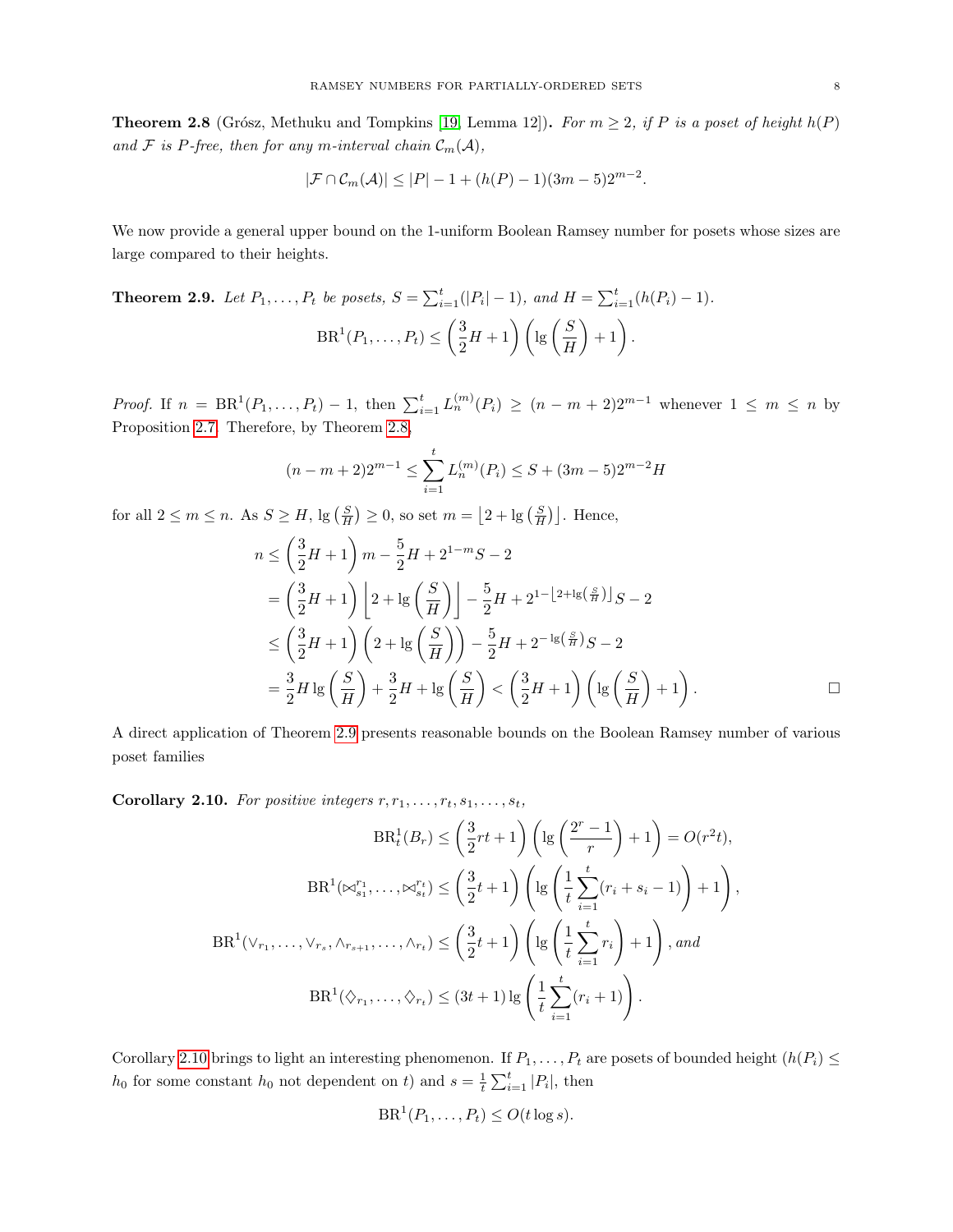<span id="page-7-0"></span>**Theorem 2.8** (Grósz, Methuku and Tompkins [\[19,](#page-17-10) Lemma 12]). For  $m \geq 2$ , if P is a poset of height  $h(P)$ and F is P-free, then for any m-interval chain  $\mathcal{C}_m(\mathcal{A})$ ,

$$
|\mathcal{F} \cap \mathcal{C}_m(\mathcal{A})| \leq |P| - 1 + (h(P) - 1)(3m - 5)2^{m-2}.
$$

We now provide a general upper bound on the 1-uniform Boolean Ramsey number for posets whose sizes are large compared to their heights.

<span id="page-7-1"></span>**Theorem 2.9.** Let 
$$
P_1, ..., P_t
$$
 be posets,  $S = \sum_{i=1}^t (|P_i| - 1)$ , and  $H = \sum_{i=1}^t (h(P_i) - 1)$ .  
 $BR^1(P_1, ..., P_t) \leq \left(\frac{3}{2}H + 1\right) \left(\lg\left(\frac{S}{H}\right) + 1\right)$ .

*Proof.* If  $n = BR^1(P_1, ..., P_t) - 1$ , then  $\sum_{i=1}^t L_n^{(m)}(P_i) \ge (n - m + 2)2^{m-1}$  whenever  $1 \le m \le n$  by Proposition [2.7.](#page-6-0) Therefore, by Theorem [2.8,](#page-7-0)

$$
(n-m+2)2^{m-1} \le \sum_{i=1}^{t} L_n^{(m)}(P_i) \le S + (3m-5)2^{m-2}H
$$

for all  $2 \leq m \leq n$ . As  $S \geq H$ ,  $\lg\left(\frac{S}{H}\right) \geq 0$ , so set  $m = \left\lfloor 2 + \lg\left(\frac{S}{H}\right) \right\rfloor$ . Hence,

$$
n \le \left(\frac{3}{2}H + 1\right)m - \frac{5}{2}H + 2^{1-m}S - 2
$$
  
=  $\left(\frac{3}{2}H + 1\right)\left[2 + \lg\left(\frac{S}{H}\right)\right] - \frac{5}{2}H + 2^{1-\lfloor2 + \lg\left(\frac{S}{H}\right)\rfloor}S - 2$   
 $\le \left(\frac{3}{2}H + 1\right)\left(2 + \lg\left(\frac{S}{H}\right)\right) - \frac{5}{2}H + 2^{-\lg\left(\frac{S}{H}\right)}S - 2$   
=  $\frac{3}{2}H \lg\left(\frac{S}{H}\right) + \frac{3}{2}H + \lg\left(\frac{S}{H}\right) < \left(\frac{3}{2}H + 1\right)\left(\lg\left(\frac{S}{H}\right) + 1\right).$ 

,

A direct application of Theorem [2.9](#page-7-1) presents reasonable bounds on the Boolean Ramsey number of various poset families

<span id="page-7-2"></span>Corollary 2.10. For positive integers  $r, r_1, \ldots, r_t, s_1, \ldots, s_t$ ,

$$
BR_t^1(B_r) \leq \left(\frac{3}{2}rt + 1\right) \left(\lg\left(\frac{2^r - 1}{r}\right) + 1\right) = O(r^2t),
$$
  

$$
BR^1(\bowtie_{s_1}^{r_1}, \dots, \bowtie_{s_t}^{r_t}) \leq \left(\frac{3}{2}t + 1\right) \left(\lg\left(\frac{1}{t}\sum_{i=1}^t (r_i + s_i - 1)\right) + 1\right)
$$
  

$$
BR^1(\vee_{r_1}, \dots, \vee_{r_s}, \wedge_{r_{s+1}}, \dots, \wedge_{r_t}) \leq \left(\frac{3}{2}t + 1\right) \left(\lg\left(\frac{1}{t}\sum_{i=1}^t r_i\right) + 1\right), and
$$
  

$$
BR^1(\lozenge_{r_1}, \dots, \lozenge_{r_t}) \leq (3t + 1) \lg\left(\frac{1}{t}\sum_{i=1}^t (r_i + 1)\right).
$$

Corollary [2.10](#page-7-2) brings to light an interesting phenomenon. If  $P_1, \ldots, P_t$  are posets of bounded height  $(h(P_i) \leq$  $h_0$  for some constant  $h_0$  not dependent on t) and  $s = \frac{1}{t} \sum_{i=1}^t |P_i|$ , then

$$
\text{BR}^1(P_1,\ldots,P_t) \leq O(t\log s).
$$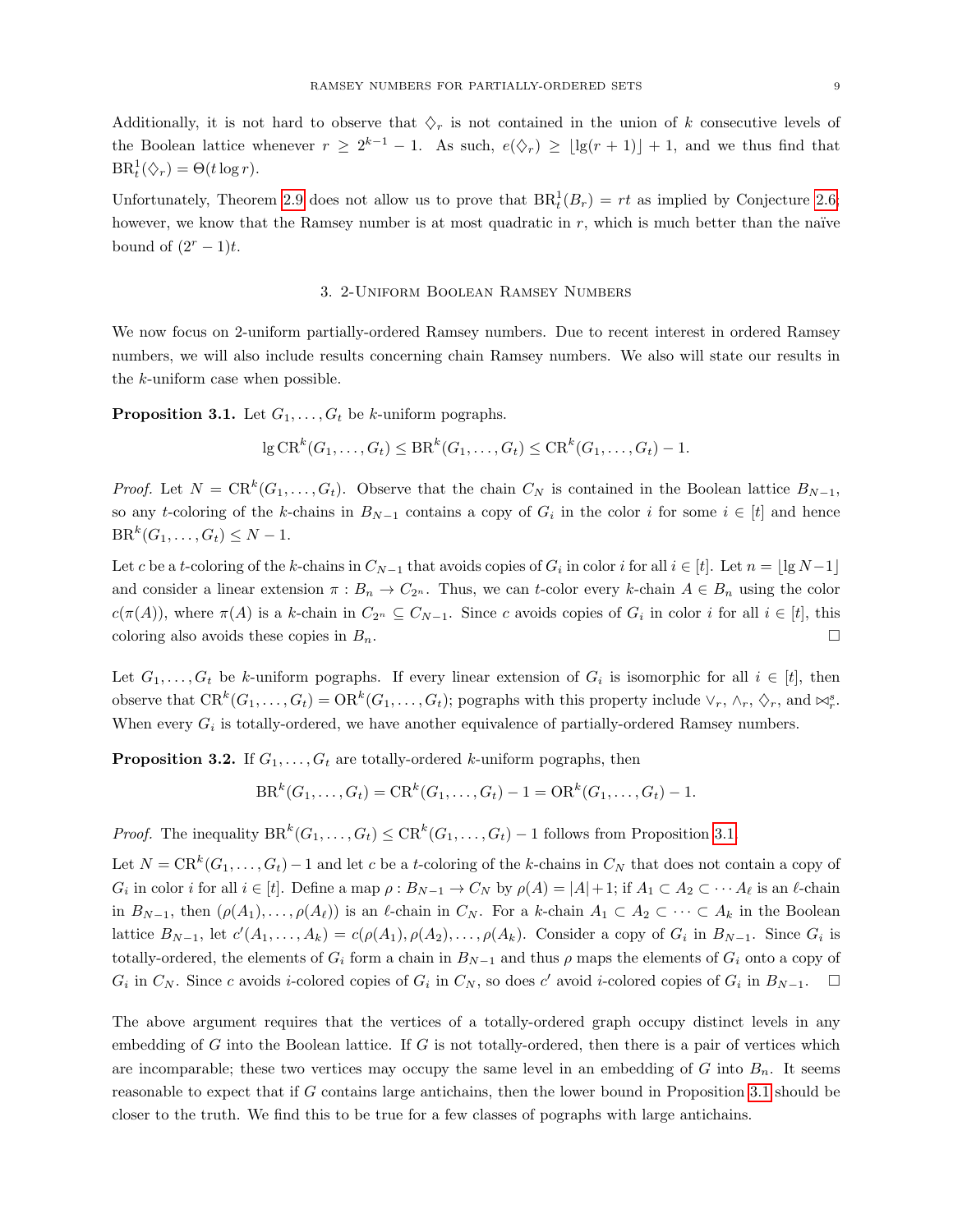Additionally, it is not hard to observe that  $\Diamond_r$  is not contained in the union of k consecutive levels of the Boolean lattice whenever  $r \geq 2^{k-1} - 1$ . As such,  $e(\Diamond_r) \geq \lfloor \lg(r+1) \rfloor + 1$ , and we thus find that  $BR_t^1(\Diamond_r) = \Theta(t \log r).$ 

Unfortunately, Theorem [2.9](#page-7-1) does not allow us to prove that  $BR_t^1(B_r) = rt$  as implied by Conjecture [2.6;](#page-6-1) however, we know that the Ramsey number is at most quadratic in  $r$ , which is much better than the naïve bound of  $(2<sup>r</sup> - 1)t$ .

# 3. 2-Uniform Boolean Ramsey Numbers

<span id="page-8-0"></span>We now focus on 2-uniform partially-ordered Ramsey numbers. Due to recent interest in ordered Ramsey numbers, we will also include results concerning chain Ramsey numbers. We also will state our results in the k-uniform case when possible.

<span id="page-8-1"></span>**Proposition 3.1.** Let  $G_1, \ldots, G_t$  be k-uniform pographs.

$$
\lg CR^k(G_1,\ldots,G_t) \leq BR^k(G_1,\ldots,G_t) \leq CR^k(G_1,\ldots,G_t) - 1.
$$

*Proof.* Let  $N = \text{CR}^k(G_1, \ldots, G_t)$ . Observe that the chain  $C_N$  is contained in the Boolean lattice  $B_{N-1}$ , so any t-coloring of the k-chains in  $B_{N-1}$  contains a copy of  $G_i$  in the color i for some  $i \in [t]$  and hence  $BR^{k}(G_1, ..., G_t) \leq N - 1.$ 

Let c be a t-coloring of the k-chains in  $C_{N-1}$  that avoids copies of  $G_i$  in color i for all  $i \in [t]$ . Let  $n = \lfloor \lg N - 1 \rfloor$ and consider a linear extension  $\pi : B_n \to C_{2^n}$ . Thus, we can t-color every k-chain  $A \in B_n$  using the color  $c(\pi(A))$ , where  $\pi(A)$  is a k-chain in  $C_{2^n} \subseteq C_{N-1}$ . Since c avoids copies of  $G_i$  in color i for all  $i \in [t]$ , this coloring also avoids these copies in  $B_n$ .

Let  $G_1, \ldots, G_t$  be k-uniform pographs. If every linear extension of  $G_i$  is isomorphic for all  $i \in [t]$ , then observe that  $CR^k(G_1, \ldots, G_t) = OR^k(G_1, \ldots, G_t)$ ; pographs with this property include  $\vee_r, \wedge_r, \Diamond_r$ , and  $\bowtie_r^s$ . When every  $G_i$  is totally-ordered, we have another equivalence of partially-ordered Ramsey numbers.

<span id="page-8-2"></span>**Proposition 3.2.** If  $G_1, \ldots, G_t$  are totally-ordered k-uniform pographs, then

$$
BR^{k}(G_1, ..., G_t) = CR^{k}(G_1, ..., G_t) - 1 = OR^{k}(G_1, ..., G_t) - 1.
$$

*Proof.* The inequality  $BR^k(G_1, \ldots, G_t) \leq CR^k(G_1, \ldots, G_t) - 1$  follows from Proposition [3.1.](#page-8-1)

Let  $N = \text{CR}^k(G_1, \ldots, G_t) - 1$  and let c be a t-coloring of the k-chains in  $C_N$  that does not contain a copy of  $G_i$  in color i for all  $i \in [t]$ . Define a map  $\rho: B_{N-1} \to C_N$  by  $\rho(A) = |A|+1$ ; if  $A_1 \subset A_2 \subset \cdots A_\ell$  is an  $\ell$ -chain in  $B_{N-1}$ , then  $(\rho(A_1), \ldots, \rho(A_\ell))$  is an  $\ell$ -chain in  $C_N$ . For a k-chain  $A_1 \subset A_2 \subset \cdots \subset A_k$  in the Boolean lattice  $B_{N-1}$ , let  $c'(A_1,\ldots,A_k) = c(\rho(A_1), \rho(A_2),\ldots,\rho(A_k)$ . Consider a copy of  $G_i$  in  $B_{N-1}$ . Since  $G_i$  is totally-ordered, the elements of  $G_i$  form a chain in  $B_{N-1}$  and thus  $\rho$  maps the elements of  $G_i$  onto a copy of  $G_i$  in  $C_N$ . Since c avoids *i*-colored copies of  $G_i$  in  $C_N$ , so does c' avoid *i*-colored copies of  $G_i$  in  $B_{N-1}$ .  $\Box$ 

The above argument requires that the vertices of a totally-ordered graph occupy distinct levels in any embedding of G into the Boolean lattice. If G is not totally-ordered, then there is a pair of vertices which are incomparable; these two vertices may occupy the same level in an embedding of G into  $B_n$ . It seems reasonable to expect that if G contains large antichains, then the lower bound in Proposition [3.1](#page-8-1) should be closer to the truth. We find this to be true for a few classes of pographs with large antichains.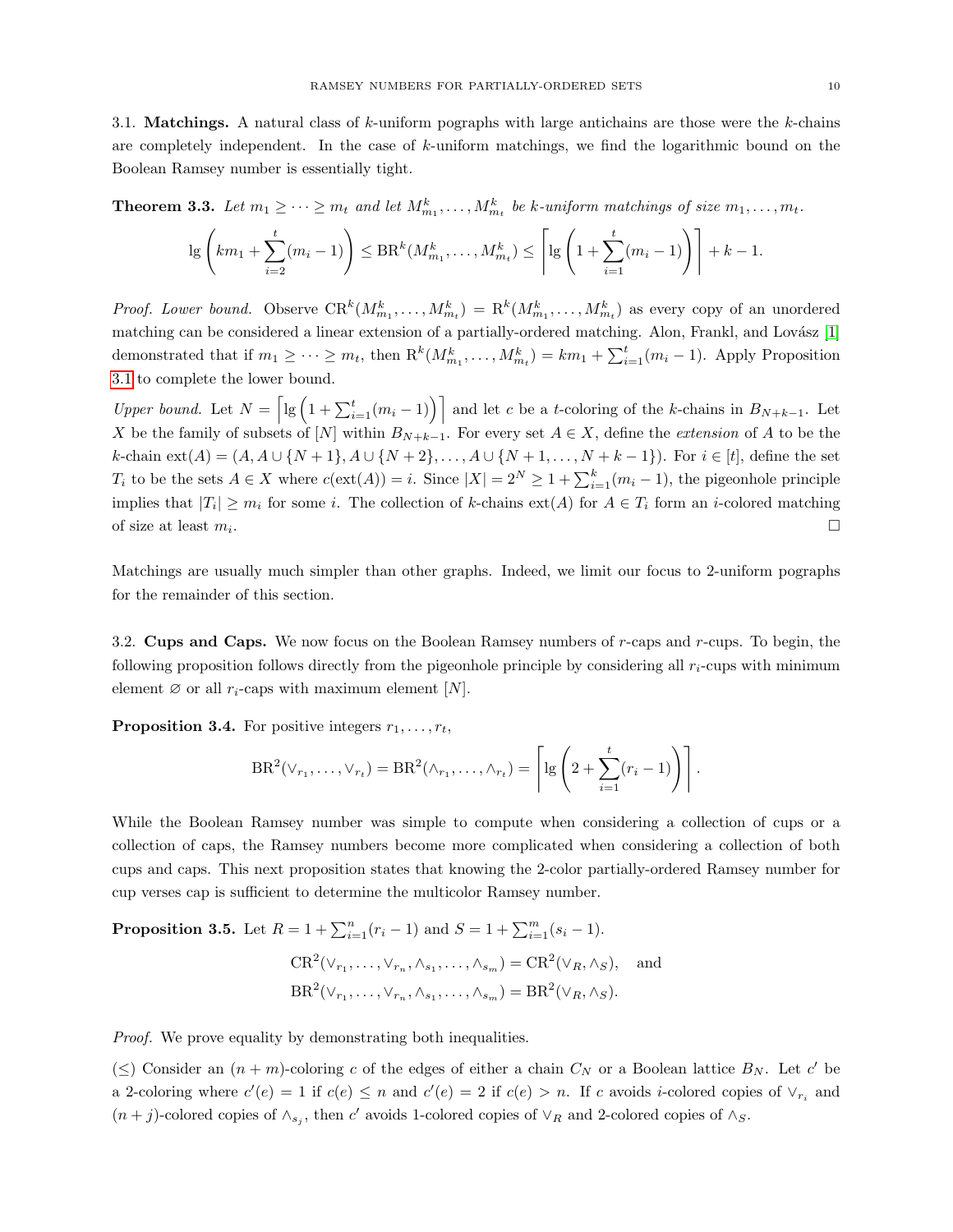3.1. **Matchings.** A natural class of k-uniform pographs with large antichains are those were the k-chains are completely independent. In the case of  $k$ -uniform matchings, we find the logarithmic bound on the Boolean Ramsey number is essentially tight.

**Theorem 3.3.** Let  $m_1 \geq \cdots \geq m_t$  and let  $M_{m_1}^k, \ldots, M_{m_t}^k$  be k-uniform matchings of size  $m_1, \ldots, m_t$ .

$$
\lg\left(km_1 + \sum_{i=2}^t (m_i - 1)\right) \leq \text{BR}^k(M_{m_1}^k, \dots, M_{m_t}^k) \leq \left\lceil \lg\left(1 + \sum_{i=1}^t (m_i - 1)\right) \right\rceil + k - 1.
$$

*Proof. Lower bound.* Observe  $CR^k(M^k_{m_1},...,M^k_{m_t}) = R^k(M^k_{m_1},...,M^k_{m_t})$  as every copy of an unordered matching can be considered a linear extension of a partially-ordered matching. Alon, Frankl, and Lovász [\[1\]](#page-16-3) demonstrated that if  $m_1 \geq \cdots \geq m_t$ , then  $\mathcal{R}^k(M_{m_1}^k, \ldots, M_{m_t}^k) = km_1 + \sum_{i=1}^t (m_i - 1)$ . Apply Proposition [3.1](#page-8-1) to complete the lower bound.

Upper bound. Let  $N = \left[\lg\left(1 + \sum_{i=1}^t (m_i - 1)\right)\right]$  and let c be a t-coloring of the k-chains in  $B_{N+k-1}$ . Let X be the family of subsets of [N] within  $B_{N+k-1}$ . For every set  $A \in X$ , define the *extension* of A to be the  $k$ -chain ext(A) = (A, A ∪ {N + 1}, A ∪ {N + 2}, ..., A ∪ {N + 1, ..., N + k - 1}). For  $i \in [t]$ , define the set  $T_i$  to be the sets  $A \in X$  where  $c(\text{ext}(A)) = i$ . Since  $|X| = 2^N \ge 1 + \sum_{i=1}^k (m_i - 1)$ , the pigeonhole principle implies that  $|T_i| \geq m_i$  for some i. The collection of k-chains  $ext(A)$  for  $A \in T_i$  form an i-colored matching of size at least  $m_i$ . .

Matchings are usually much simpler than other graphs. Indeed, we limit our focus to 2-uniform pographs for the remainder of this section.

3.2. **Cups and Caps.** We now focus on the Boolean Ramsey numbers of  $r$ -caps and  $r$ -cups. To begin, the following proposition follows directly from the pigeonhole principle by considering all  $r_i$ -cups with minimum element  $\varnothing$  or all  $r_i$ -caps with maximum element  $[N]$ .

**Proposition 3.4.** For positive integers  $r_1, \ldots, r_t$ ,

$$
BR^{2}(\vee_{r_{1}},\ldots,\vee_{r_{t}})=BR^{2}(\wedge_{r_{1}},\ldots,\wedge_{r_{t}})=\left[\lg\left(2+\sum_{i=1}^{t}(r_{i}-1)\right)\right].
$$

While the Boolean Ramsey number was simple to compute when considering a collection of cups or a collection of caps, the Ramsey numbers become more complicated when considering a collection of both cups and caps. This next proposition states that knowing the 2-color partially-ordered Ramsey number for cup verses cap is sufficient to determine the multicolor Ramsey number.

<span id="page-9-0"></span>**Proposition 3.5.** Let  $R = 1 + \sum_{i=1}^{n} (r_i - 1)$  and  $S = 1 + \sum_{i=1}^{m} (s_i - 1)$ .

$$
CR^2(\vee_{r_1}, \dots, \vee_{r_n}, \wedge_{s_1}, \dots, \wedge_{s_m}) = CR^2(\vee_R, \wedge_S), \text{ and}
$$
  

$$
BR^2(\vee_{r_1}, \dots, \vee_{r_n}, \wedge_{s_1}, \dots, \wedge_{s_m}) = BR^2(\vee_R, \wedge_S).
$$

*Proof.* We prove equality by demonstrating both inequalities.

 $(\leq)$  Consider an  $(n + m)$ -coloring c of the edges of either a chain  $C_N$  or a Boolean lattice  $B_N$ . Let c' be a 2-coloring where  $c'(e) = 1$  if  $c(e) \leq n$  and  $c'(e) = 2$  if  $c(e) > n$ . If c avoids *i*-colored copies of  $\vee_{r_i}$  and  $(n+j)$ -colored copies of  $\wedge_{s_j}$ , then c' avoids 1-colored copies of  $\vee_R$  and 2-colored copies of  $\wedge_S$ .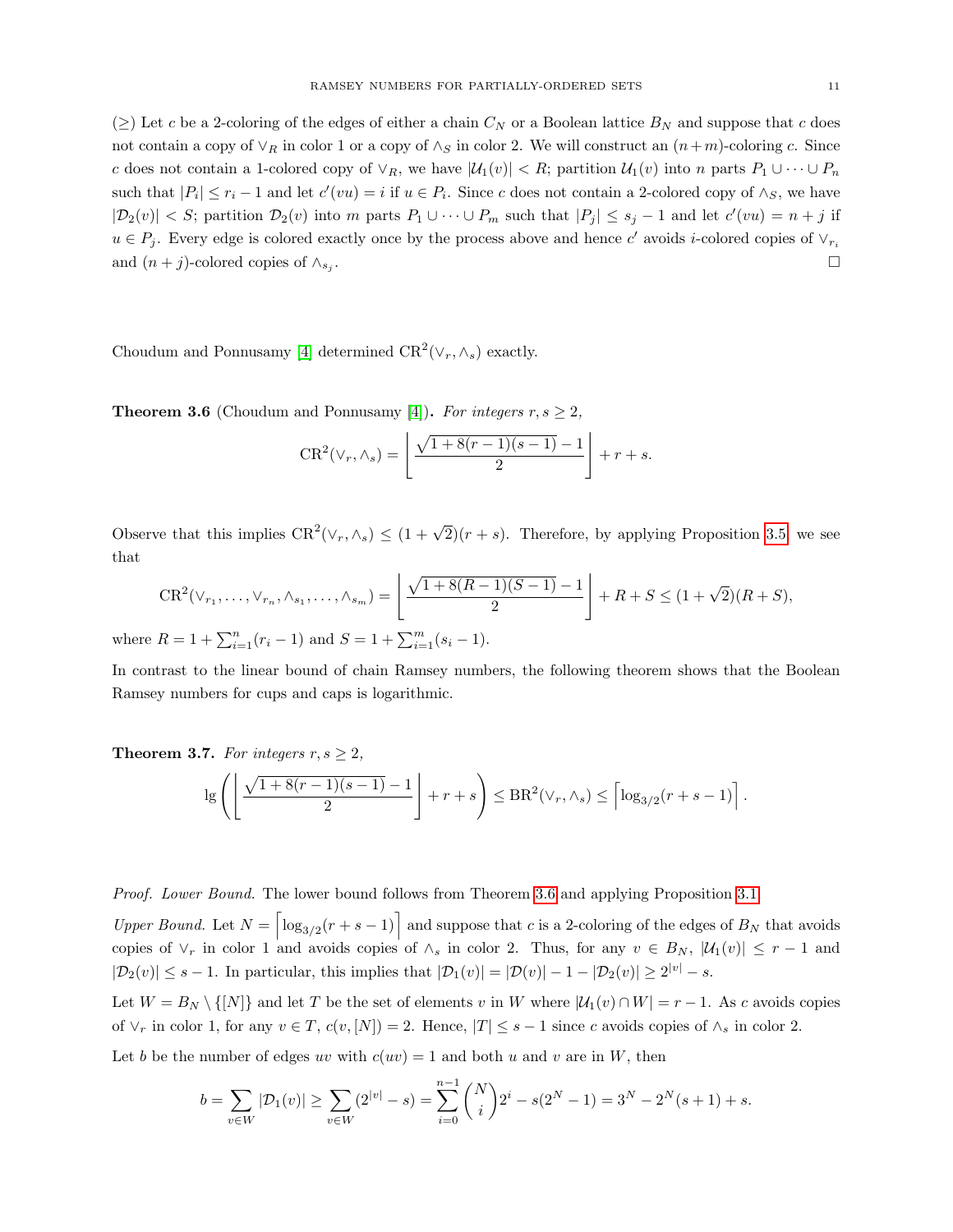( $\geq$ ) Let c be a 2-coloring of the edges of either a chain  $C_N$  or a Boolean lattice  $B_N$  and suppose that c does not contain a copy of  $\vee_R$  in color 1 or a copy of  $\wedge_S$  in color 2. We will construct an  $(n+m)$ -coloring c. Since c does not contain a 1-colored copy of  $\vee_R$ , we have  $|\mathcal{U}_1(v)| < R$ ; partition  $\mathcal{U}_1(v)$  into n parts  $P_1 \cup \cdots \cup P_n$ such that  $|P_i| \leq r_i - 1$  and let  $c'(vu) = i$  if  $u \in P_i$ . Since c does not contain a 2-colored copy of  $\wedge_S$ , we have  $|\mathcal{D}_2(v)| < S$ ; partition  $\mathcal{D}_2(v)$  into m parts  $P_1 \cup \cdots \cup P_m$  such that  $|P_j| \leq s_j - 1$  and let  $c'(vu) = n + j$  if  $u \in P_j$ . Every edge is colored exactly once by the process above and hence c' avoids *i*-colored copies of  $\vee_{r_i}$ and  $(n + j)$ -colored copies of  $\wedge_{s_j}$ . . The contract of the contract of the contract of the contract of the contract of the contract of the contract<br>The contract of the contract of the contract of the contract of the contract of the contract of the contract o

Choudum and Ponnusamy [\[4\]](#page-16-1) determined  $CR^2(\vee_r, \wedge_s)$  exactly.

<span id="page-10-0"></span>**Theorem 3.6** (Choudum and Ponnusamy [\[4\]](#page-16-1)). For integers  $r, s \geq 2$ ,

$$
CR^{2}(\vee_{r}, \wedge_{s}) = \left\lfloor \frac{\sqrt{1 + 8(r - 1)(s - 1)} - 1}{2} \right\rfloor + r + s.
$$

Observe that this implies  $CR^2(\vee_r, \wedge_s) \leq (1 + \sqrt{2})(r + s)$ . Therefore, by applying Proposition [3.5,](#page-9-0) we see that

$$
CR^{2}(\vee_{r_{1}},\ldots,\vee_{r_{n}},\wedge_{s_{1}},\ldots,\wedge_{s_{m}}) = \left\lfloor \frac{\sqrt{1+8(R-1)(S-1)}-1}{2} \right\rfloor + R + S \leq (1+\sqrt{2})(R+S),
$$
  
where  $R = 1 + \sum_{i=1}^{n} (r_{i} - 1)$  and  $S = 1 + \sum_{i=1}^{m} (s_{i} - 1)$ .

In contrast to the linear bound of chain Ramsey numbers, the following theorem shows that the Boolean Ramsey numbers for cups and caps is logarithmic.

<span id="page-10-1"></span>**Theorem 3.7.** For integers  $r, s \geq 2$ ,

$$
\lg\left(\left\lfloor\frac{\sqrt{1+8(r-1)(s-1)}-1}{2}\right\rfloor+r+s\right)\leq \text{BR}^2(\vee_r,\wedge_s)\leq \left\lceil\log_{3/2}(r+s-1)\right\rceil.
$$

Proof. Lower Bound. The lower bound follows from Theorem [3.6](#page-10-0) and applying Proposition [3.1.](#page-8-1)

Upper Bound. Let  $N = \begin{bmatrix} \log_{3/2}(r+s-1) \end{bmatrix}$  and suppose that c is a 2-coloring of the edges of  $B_N$  that avoids copies of  $\vee_r$  in color 1 and avoids copies of  $\wedge_s$  in color 2. Thus, for any  $v \in B_N$ ,  $|\mathcal{U}_1(v)| \leq r-1$  and  $|\mathcal{D}_2(v)| \leq s - 1$ . In particular, this implies that  $|\mathcal{D}_1(v)| = |\mathcal{D}(v)| - 1 - |\mathcal{D}_2(v)| \geq 2^{|v|} - s$ .

Let  $W = B_N \setminus \{ [N] \}$  and let T be the set of elements v in W where  $|\mathcal{U}_1(v) \cap W| = r - 1$ . As c avoids copies of  $\vee_r$  in color 1, for any  $v \in T$ ,  $c(v, [N]) = 2$ . Hence,  $|T| \leq s - 1$  since c avoids copies of  $\wedge_s$  in color 2.

Let b be the number of edges uv with  $c(uv) = 1$  and both u and v are in W, then

$$
b = \sum_{v \in W} |\mathcal{D}_1(v)| \ge \sum_{v \in W} (2^{|v|} - s) = \sum_{i=0}^{n-1} {N \choose i} 2^i - s(2^N - 1) = 3^N - 2^N(s+1) + s.
$$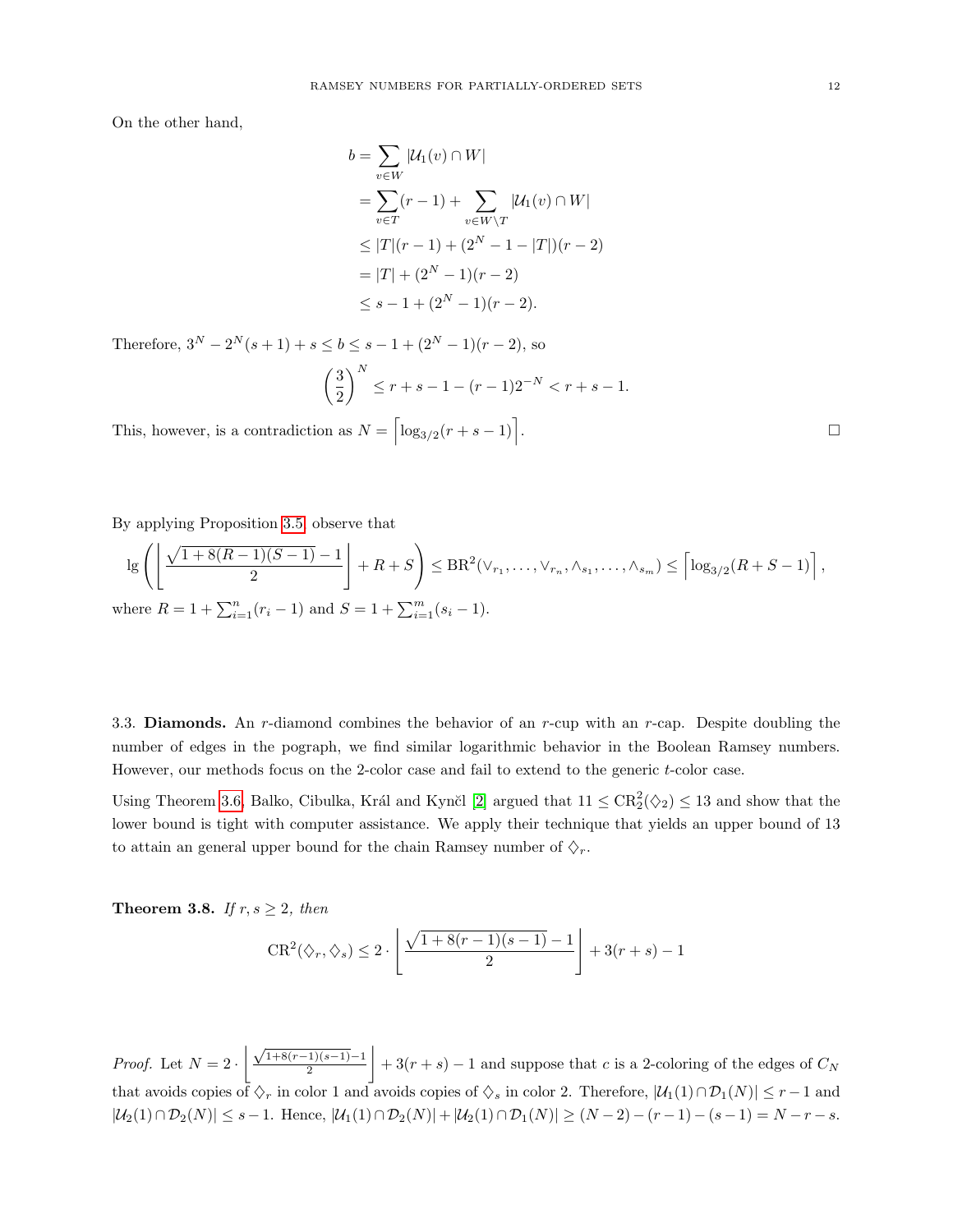On the other hand,

$$
b = \sum_{v \in W} |\mathcal{U}_1(v) \cap W|
$$
  
=  $\sum_{v \in T} (r - 1) + \sum_{v \in W \setminus T} |\mathcal{U}_1(v) \cap W|$   
 $\leq |T|(r - 1) + (2^N - 1 - |T|)(r - 2)$   
=  $|T| + (2^N - 1)(r - 2)$   
 $\leq s - 1 + (2^N - 1)(r - 2).$ 

Therefore,  $3^N - 2^N(s + 1) + s \le b \le s - 1 + (2^N - 1)(r - 2)$ , so

$$
\left(\frac{3}{2}\right)^N \le r + s - 1 - (r - 1)2^{-N} < r + s - 1.
$$

This, however, is a contradiction as  $N = \left\lceil \log_{3/2}(r+s-1) \right\rceil$ 

By applying Proposition [3.5,](#page-9-0) observe that

$$
\lg\left(\left\lfloor\frac{\sqrt{1+8(R-1)(S-1)}-1}{2}\right\rfloor+R+S\right) \leq \text{BR}^2(\vee_{r_1},\ldots,\vee_{r_n},\wedge_{s_1},\ldots,\wedge_{s_m}) \leq \left\lceil\log_{3/2}(R+S-1)\right\rceil,
$$
  
where  $R-1+\sum_{r=1}^n (r_r-1)$  and  $S-1+\sum_{r=1}^m (r_r-1)$ .

where  $R = 1 + \sum_{i=1}^{n} (r_i - 1)$  and  $S = 1 + \sum_{i=1}^{m} (s_i - 1)$ .

3.3. **Diamonds.** An r-diamond combines the behavior of an r-cup with an r-cap. Despite doubling the number of edges in the pograph, we find similar logarithmic behavior in the Boolean Ramsey numbers. However, our methods focus on the 2-color case and fail to extend to the generic t-color case.

Using Theorem [3.6,](#page-10-0) Balko, Cibulka, Král and Kynčl [\[2\]](#page-16-0) argued that  $11 \leq CR_2^2(\diamondsuit_2) \leq 13$  and show that the lower bound is tight with computer assistance. We apply their technique that yields an upper bound of 13 to attain an general upper bound for the chain Ramsey number of  $\Diamond_r$ .

Theorem 3.8. If  $r, s \geq 2$ , then

$$
CR^{2}(\diamondsuit_{r}, \diamondsuit_{s}) \leq 2 \cdot \left\lfloor \frac{\sqrt{1 + 8(r - 1)(s - 1)} - 1}{2} \right\rfloor + 3(r + s) - 1
$$

*Proof.* Let  $N = 2 \cdot \left( \frac{\sqrt{1+8(r-1)(s-1)}-1}{2} \right)$ 2  $+3(r + s) - 1$  and suppose that c is a 2-coloring of the edges of  $C_N$ that avoids copies of  $\Diamond_r$  in color 1 and avoids copies of  $\Diamond_s$  in color 2. Therefore,  $|\mathcal{U}_1(1) \cap \mathcal{D}_1(N)| \leq r-1$  and  $|\mathcal{U}_2(1) \cap \mathcal{D}_2(N)| \leq s - 1$ . Hence,  $|\mathcal{U}_1(1) \cap \mathcal{D}_2(N)| + |\mathcal{U}_2(1) \cap \mathcal{D}_1(N)| \geq (N - 2) - (r - 1) - (s - 1) = N - r - s$ .

.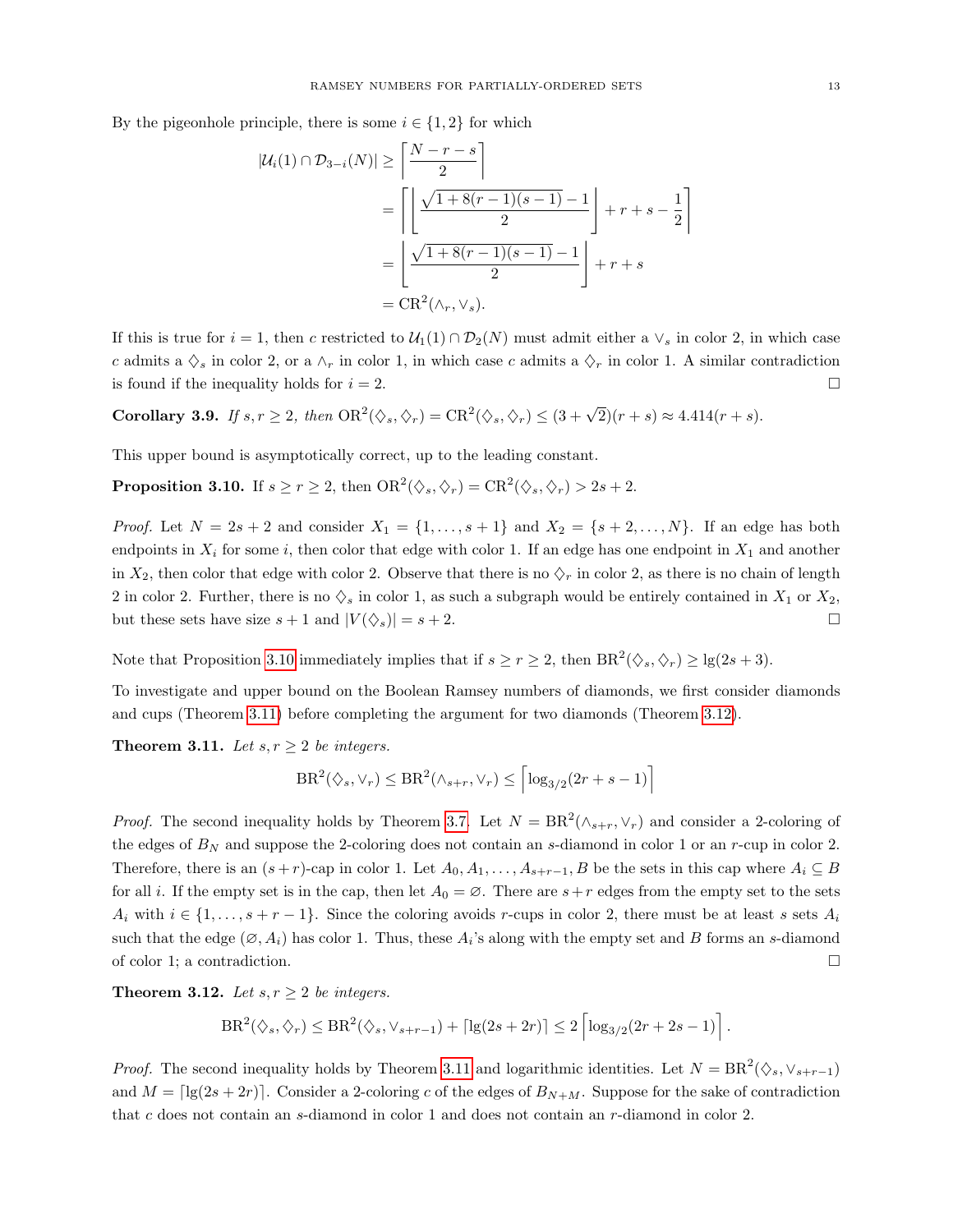By the pigeonhole principle, there is some  $i \in \{1, 2\}$  for which

$$
|\mathcal{U}_i(1) \cap \mathcal{D}_{3-i}(N)| \ge \left\lceil \frac{N-r-s}{2} \right\rceil
$$
  
= 
$$
\left\lceil \left\lfloor \frac{\sqrt{1+8(r-1)(s-1)}-1}{2} \right\rfloor + r+s - \frac{1}{2} \right\rceil
$$
  
= 
$$
\left\lfloor \frac{\sqrt{1+8(r-1)(s-1)}-1}{2} \right\rfloor + r+s
$$
  
= 
$$
CR^2(\wedge_r, \vee_s).
$$

If this is true for  $i = 1$ , then c restricted to  $U_1(1) \cap D_2(N)$  must admit either a  $\vee_s$  in color 2, in which case c admits a  $\Diamond_s$  in color 2, or a  $\land_r$  in color 1, in which case c admits a  $\Diamond_r$  in color 1. A similar contradiction is found if the inequality holds for  $i = 2$ .

Corollary 3.9. If  $s, r \geq 2$ , then  $OR^2(\diamondsuit_s, \diamondsuit_r) = CR^2(\diamondsuit_s, \diamondsuit_r) \leq (3 + \sqrt{2})(r + s) \approx 4.414(r + s)$ .

This upper bound is asymptotically correct, up to the leading constant.

<span id="page-12-0"></span>**Proposition 3.10.** If  $s \ge r \ge 2$ , then  $OR^2(\diamondsuit_s, \diamondsuit_r) = CR^2(\diamondsuit_s, \diamondsuit_r) > 2s + 2$ .

*Proof.* Let  $N = 2s + 2$  and consider  $X_1 = \{1, ..., s + 1\}$  and  $X_2 = \{s + 2, ..., N\}$ . If an edge has both endpoints in  $X_i$  for some i, then color that edge with color 1. If an edge has one endpoint in  $X_1$  and another in  $X_2$ , then color that edge with color 2. Observe that there is no  $\Diamond_r$  in color 2, as there is no chain of length 2 in color 2. Further, there is no  $\Diamond_s$  in color 1, as such a subgraph would be entirely contained in  $X_1$  or  $X_2$ , but these sets have size  $s + 1$  and  $|V(\diamondsuit_s)| = s + 2$ .

Note that Proposition [3.10](#page-12-0) immediately implies that if  $s \ge r \ge 2$ , then  $BR^2(\Diamond_s, \Diamond_r) \ge \lg(2s+3)$ .

To investigate and upper bound on the Boolean Ramsey numbers of diamonds, we first consider diamonds and cups (Theorem [3.11\)](#page-12-1) before completing the argument for two diamonds (Theorem [3.12\)](#page-12-2).

<span id="page-12-1"></span>**Theorem 3.11.** Let  $s, r \geq 2$  be integers.

$$
\text{BR}^2(\diamondsuit_s,\vee_r)\leq \text{BR}^2(\wedge_{s+r},\vee_r)\leq \left\lceil \log_{3/2}(2r+s-1)\right\rceil
$$

*Proof.* The second inequality holds by Theorem [3.7.](#page-10-1) Let  $N = BR^2(\wedge_{s+r}, \vee_r)$  and consider a 2-coloring of the edges of  $B<sub>N</sub>$  and suppose the 2-coloring does not contain an s-diamond in color 1 or an r-cup in color 2. Therefore, there is an  $(s + r)$ -cap in color 1. Let  $A_0, A_1, \ldots, A_{s+r-1}, B$  be the sets in this cap where  $A_i \subseteq B$ for all i. If the empty set is in the cap, then let  $A_0 = \emptyset$ . There are  $s+r$  edges from the empty set to the sets  $A_i$  with  $i \in \{1, \ldots, s + r - 1\}$ . Since the coloring avoids r-cups in color 2, there must be at least s sets  $A_i$ such that the edge  $(\emptyset, A_i)$  has color 1. Thus, these  $A_i$ 's along with the empty set and B forms an s-diamond of color 1; a contradiction.

<span id="page-12-2"></span>Theorem 3.12. Let  $s, r \geq 2$  be integers.

$$
\text{BR}^2(\diamondsuit_s,\diamondsuit_r) \leq \text{BR}^2(\diamondsuit_s,\vee_{s+r-1}) + \left\lceil \lg(2s+2r) \right\rceil \leq 2\left\lceil \log_{3/2}(2r+2s-1) \right\rceil.
$$

*Proof.* The second inequality holds by Theorem [3.11](#page-12-1) and logarithmic identities. Let  $N = BR^2(\diamondsuit_s, \vee_{s+r-1})$ and  $M = \lceil \lg(2s + 2r) \rceil$ . Consider a 2-coloring c of the edges of  $B_{N+M}$ . Suppose for the sake of contradiction that c does not contain an s-diamond in color 1 and does not contain an r-diamond in color 2.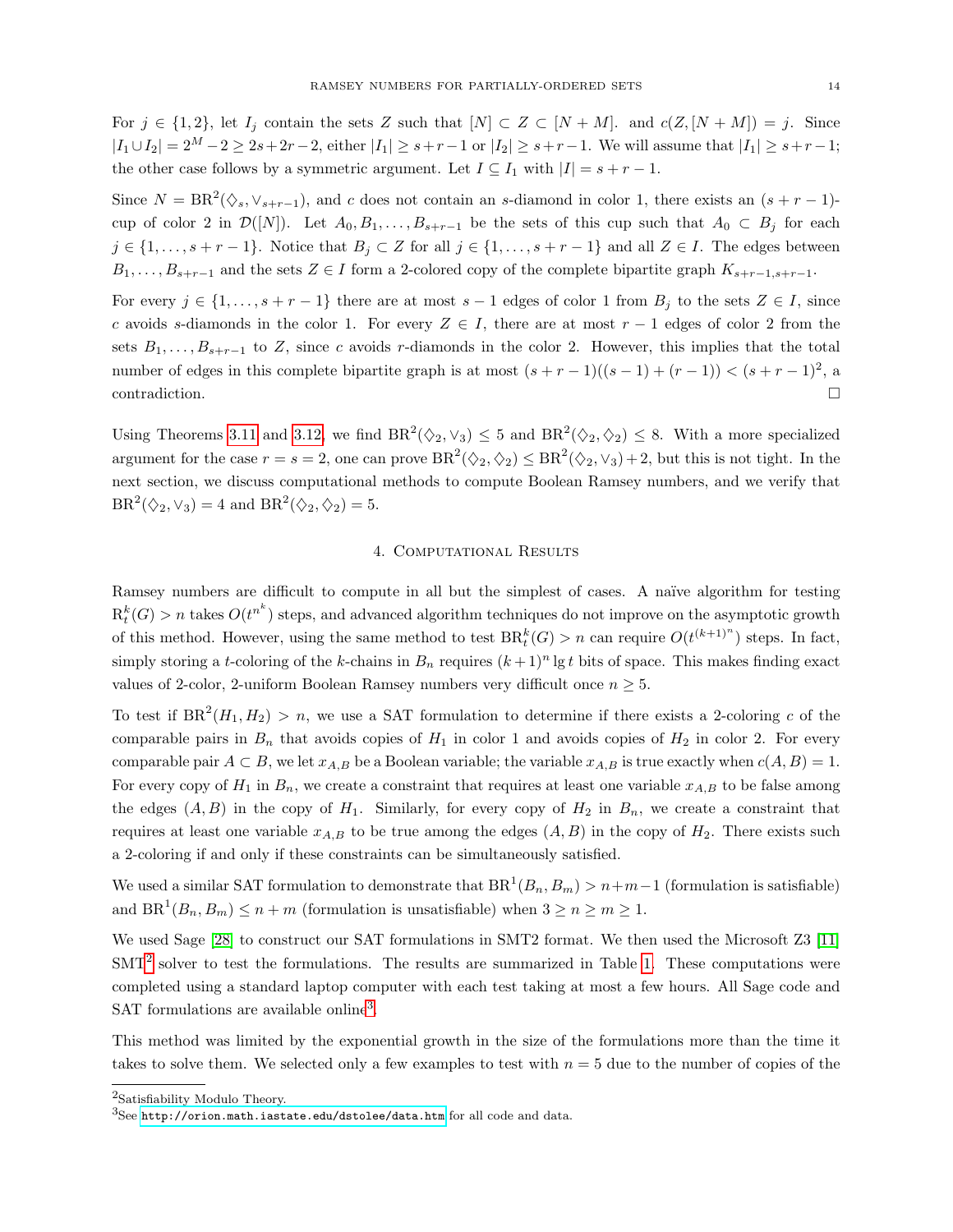For  $j \in \{1,2\}$ , let  $I_j$  contain the sets Z such that  $[N] \subset Z \subset [N+M]$ . and  $c(Z, [N+M]) = j$ . Since  $|I_1 \cup I_2| = 2^M - 2 \ge 2s + 2r - 2$ , either  $|I_1| \ge s + r - 1$  or  $|I_2| \ge s + r - 1$ . We will assume that  $|I_1| \ge s + r - 1$ ; the other case follows by a symmetric argument. Let  $I \subseteq I_1$  with  $|I| = s + r - 1$ .

Since  $N = BR^2(\diamondsuit_s, \vee_{s+r-1})$ , and c does not contain an s-diamond in color 1, there exists an  $(s + r - 1)$ cup of color 2 in  $\mathcal{D}([N])$ . Let  $A_0, B_1, \ldots, B_{s+r-1}$  be the sets of this cup such that  $A_0 \subset B_j$  for each  $j \in \{1, \ldots, s + r - 1\}$ . Notice that  $B_j \subset Z$  for all  $j \in \{1, \ldots, s + r - 1\}$  and all  $Z \in I$ . The edges between  $B_1, \ldots, B_{s+r-1}$  and the sets  $Z \in I$  form a 2-colored copy of the complete bipartite graph  $K_{s+r-1,s+r-1}$ .

For every  $j \in \{1, \ldots, s + r - 1\}$  there are at most  $s - 1$  edges of color 1 from  $B_j$  to the sets  $Z \in I$ , since c avoids s-diamonds in the color 1. For every  $Z \in I$ , there are at most  $r - 1$  edges of color 2 from the sets  $B_1, \ldots, B_{s+r-1}$  to Z, since c avoids r-diamonds in the color 2. However, this implies that the total number of edges in this complete bipartite graph is at most  $(s + r - 1)((s - 1) + (r - 1)) < (s + r - 1)^2$ , a  $\Box$ contradiction.

Using Theorems [3.11](#page-12-1) and [3.12,](#page-12-2) we find  $BR^2(\Diamond_2, \Diamond_3) \leq 5$  and  $BR^2(\Diamond_2, \Diamond_2) \leq 8$ . With a more specialized argument for the case  $r = s = 2$ , one can prove  $BR^2(\diamondsuit_2, \diamondsuit_2) \leq BR^2(\diamondsuit_2, \vee_S) + 2$ , but this is not tight. In the next section, we discuss computational methods to compute Boolean Ramsey numbers, and we verify that  $BR^2(\diamondsuit_2, \vee_3) = 4$  and  $BR^2(\diamondsuit_2, \diamondsuit_2) = 5$ .

## 4. Computational Results

<span id="page-13-0"></span>Ramsey numbers are difficult to compute in all but the simplest of cases. A naïve algorithm for testing  $R_t^k(G) > n$  takes  $O(t^{n^k})$  steps, and advanced algorithm techniques do not improve on the asymptotic growth of this method. However, using the same method to test  $BR_t^k(G) > n$  can require  $O(t^{(k+1)^n})$  steps. In fact, simply storing a t-coloring of the k-chains in  $B_n$  requires  $(k+1)^n \lg t$  bits of space. This makes finding exact values of 2-color, 2-uniform Boolean Ramsey numbers very difficult once  $n \geq 5$ .

To test if  $BR^2(H_1, H_2) > n$ , we use a SAT formulation to determine if there exists a 2-coloring c of the comparable pairs in  $B_n$  that avoids copies of  $H_1$  in color 1 and avoids copies of  $H_2$  in color 2. For every comparable pair  $A \subset B$ , we let  $x_{A,B}$  be a Boolean variable; the variable  $x_{A,B}$  is true exactly when  $c(A, B) = 1$ . For every copy of  $H_1$  in  $B_n$ , we create a constraint that requires at least one variable  $x_{A,B}$  to be false among the edges  $(A, B)$  in the copy of  $H_1$ . Similarly, for every copy of  $H_2$  in  $B_n$ , we create a constraint that requires at least one variable  $x_{A,B}$  to be true among the edges  $(A, B)$  in the copy of  $H_2$ . There exists such a 2-coloring if and only if these constraints can be simultaneously satisfied.

We used a similar SAT formulation to demonstrate that  $BR^1(B_n, B_m) > n+m-1$  (formulation is satisfiable) and  $BR<sup>1</sup>(B<sub>n</sub>, B<sub>m</sub>) \le n+m$  (formulation is unsatisfiable) when  $3 \ge n \ge m \ge 1$ .

We used Sage [\[28\]](#page-17-17) to construct our SAT formulations in SMT2 format. We then used the Microsoft Z3 [\[11\]](#page-17-18)  $SMT<sup>2</sup>$  $SMT<sup>2</sup>$  $SMT<sup>2</sup>$  solver to test the formulations. The results are summarized in Table [1.](#page-14-1) These computations were completed using a standard laptop computer with each test taking at most a few hours. All Sage code and SAT formulations are available online<sup>[3](#page-13-2)</sup>.

This method was limited by the exponential growth in the size of the formulations more than the time it takes to solve them. We selected only a few examples to test with  $n = 5$  due to the number of copies of the

<span id="page-13-1"></span><sup>2</sup>Satisfiability Modulo Theory.

<span id="page-13-2"></span> ${}^{3}$ See <http://orion.math.iastate.edu/dstolee/data.htm> for all code and data.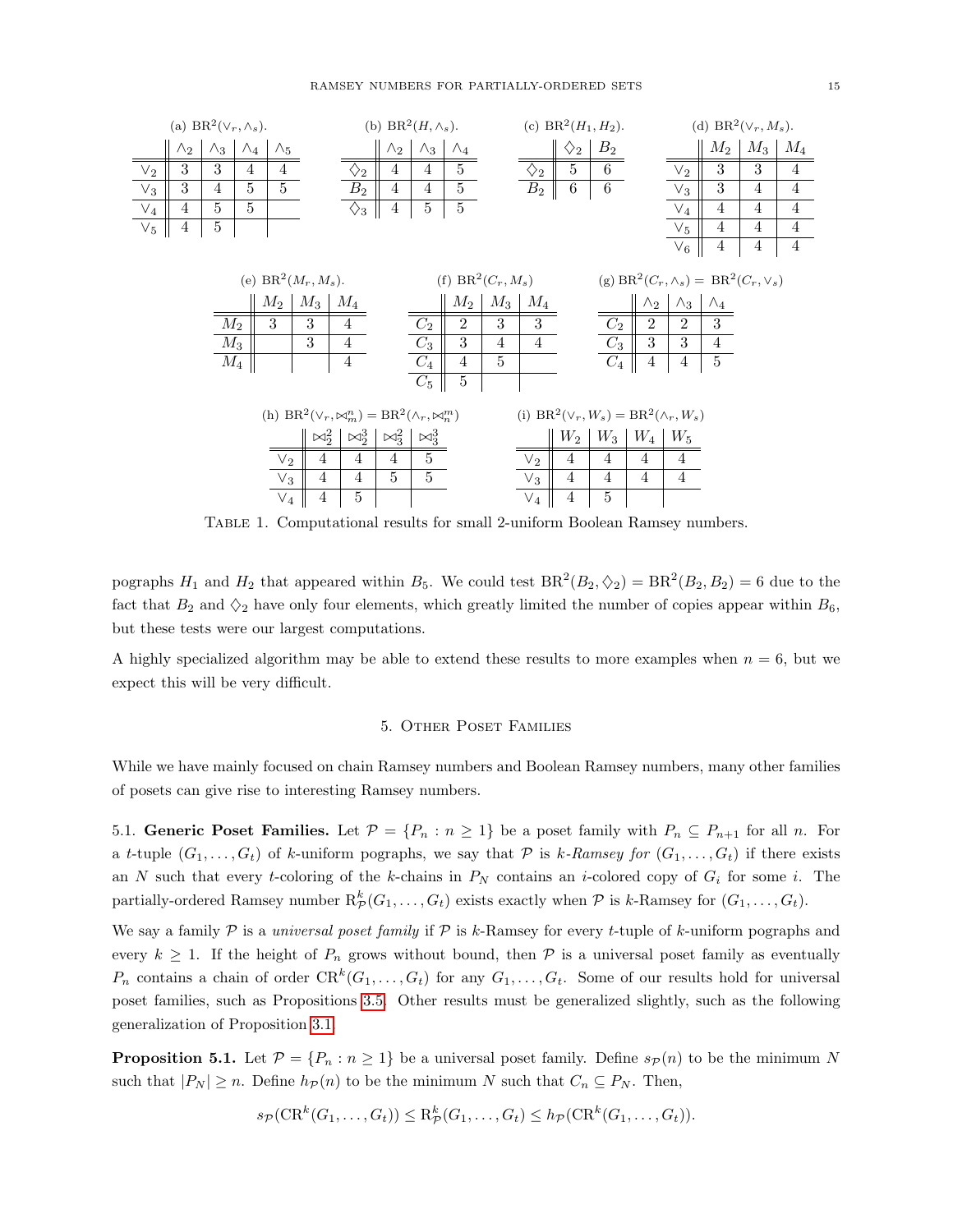

<span id="page-14-1"></span>Table 1. Computational results for small 2-uniform Boolean Ramsey numbers.

pographs  $H_1$  and  $H_2$  that appeared within  $B_5$ . We could test  $BR^2(B_2, \diamondsuit_2) = BR^2(B_2, B_2) = 6$  due to the fact that  $B_2$  and  $\Diamond_2$  have only four elements, which greatly limited the number of copies appear within  $B_6$ , but these tests were our largest computations.

<span id="page-14-0"></span>A highly specialized algorithm may be able to extend these results to more examples when  $n = 6$ , but we expect this will be very difficult.

## 5. Other Poset Families

While we have mainly focused on chain Ramsey numbers and Boolean Ramsey numbers, many other families of posets can give rise to interesting Ramsey numbers.

5.1. Generic Poset Families. Let  $\mathcal{P} = \{P_n : n \geq 1\}$  be a poset family with  $P_n \subseteq P_{n+1}$  for all n. For a t-tuple  $(G_1, \ldots, G_t)$  of k-uniform pographs, we say that P is k-Ramsey for  $(G_1, \ldots, G_t)$  if there exists an N such that every t-coloring of the k-chains in  $P_N$  contains an i-colored copy of  $G_i$  for some i. The partially-ordered Ramsey number  $\mathrm{R}^k_{\mathcal{P}}(G_1,\ldots,G_t)$  exists exactly when  $\mathcal P$  is k-Ramsey for  $(G_1,\ldots,G_t)$ .

We say a family  $P$  is a *universal poset family* if  $P$  is k-Ramsey for every t-tuple of k-uniform pographs and every  $k \geq 1$ . If the height of  $P_n$  grows without bound, then  $\mathcal P$  is a universal poset family as eventually  $P_n$  contains a chain of order  $CR^k(G_1, \ldots, G_t)$  for any  $G_1, \ldots, G_t$ . Some of our results hold for universal poset families, such as Propositions [3.5.](#page-9-0) Other results must be generalized slightly, such as the following generalization of Proposition [3.1.](#page-8-1)

<span id="page-14-2"></span>**Proposition 5.1.** Let  $\mathcal{P} = \{P_n : n \geq 1\}$  be a universal poset family. Define  $s_{\mathcal{P}}(n)$  to be the minimum N such that  $|P_N| \ge n$ . Define  $h_{\mathcal{P}}(n)$  to be the minimum N such that  $C_n \subseteq P_N$ . Then,

$$
s_{\mathcal{P}}(\text{CR}^k(G_1,\ldots,G_t)) \leq \text{R}^k_{\mathcal{P}}(G_1,\ldots,G_t) \leq h_{\mathcal{P}}(\text{CR}^k(G_1,\ldots,G_t)).
$$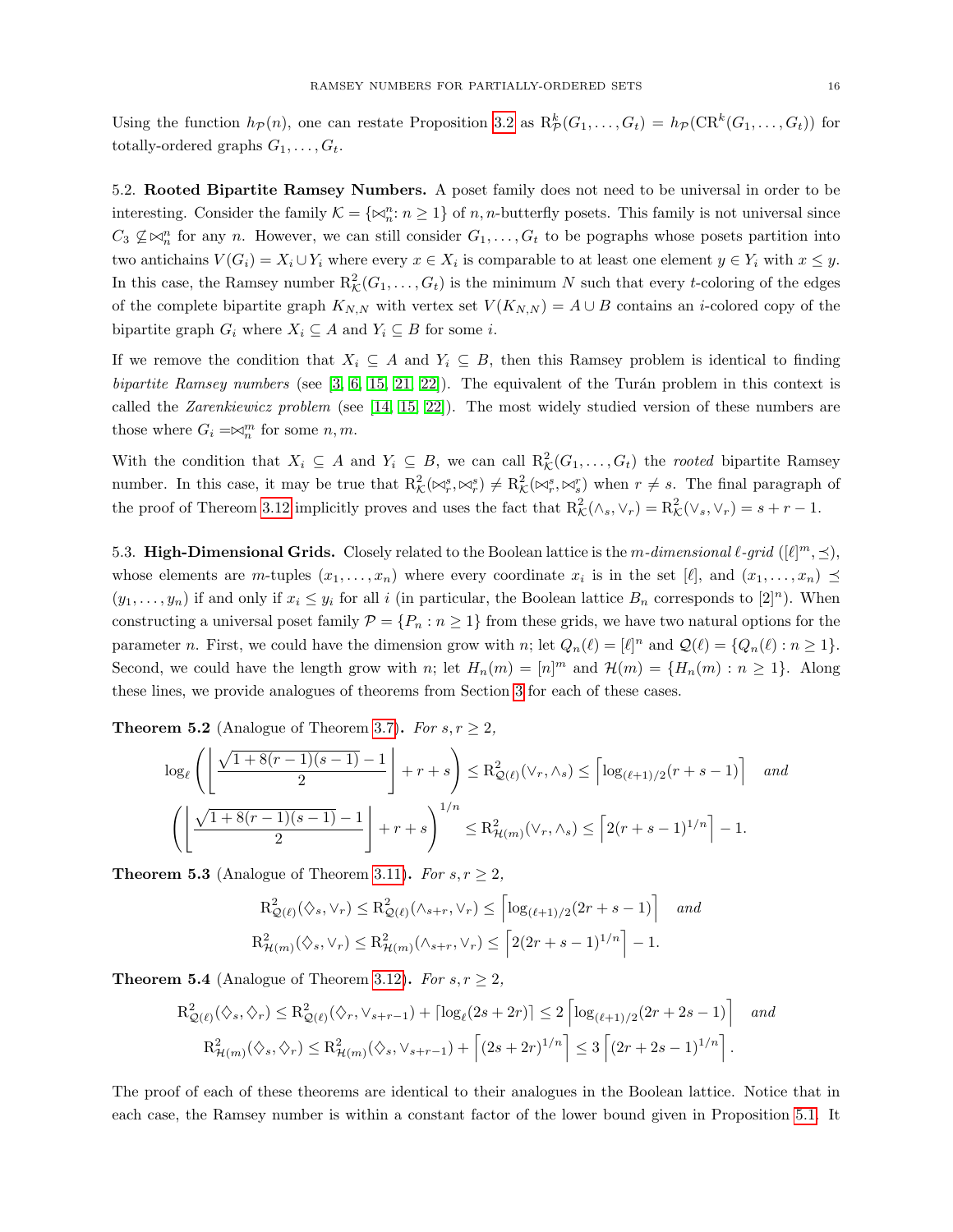Using the function  $h_{\mathcal{P}}(n)$ , one can restate Proposition [3.2](#page-8-2) as  $R_{\mathcal{P}}^k(G_1,\ldots,G_t) = h_{\mathcal{P}}(\text{CR}^k(G_1,\ldots,G_t))$  for totally-ordered graphs  $G_1, \ldots, G_t$ .

5.2. Rooted Bipartite Ramsey Numbers. A poset family does not need to be universal in order to be interesting. Consider the family  $\mathcal{K} = \{ \bowtie_n^n : n \geq 1 \}$  of n, n-butterfly posets. This family is not universal since  $C_3 \nsubseteq \Join_n^n$  for any n. However, we can still consider  $G_1, \ldots, G_t$  to be pographs whose posets partition into two antichains  $V(G_i) = X_i \cup Y_i$  where every  $x \in X_i$  is comparable to at least one element  $y \in Y_i$  with  $x \leq y$ . In this case, the Ramsey number  $R_{\mathcal{K}}^2(G_1,\ldots,G_t)$  is the minimum N such that every t-coloring of the edges of the complete bipartite graph  $K_{N,N}$  with vertex set  $V(K_{N,N}) = A \cup B$  contains an *i*-colored copy of the bipartite graph  $G_i$  where  $X_i \subseteq A$  and  $Y_i \subseteq B$  for some *i*.

If we remove the condition that  $X_i \subseteq A$  and  $Y_i \subseteq B$ , then this Ramsey problem is identical to finding bipartite Ramsey numbers (see  $[3, 6, 15, 21, 22]$  $[3, 6, 15, 21, 22]$  $[3, 6, 15, 21, 22]$  $[3, 6, 15, 21, 22]$  $[3, 6, 15, 21, 22]$ ). The equivalent of the Turán problem in this context is called the Zarenkiewicz problem (see [\[14,](#page-17-22) [15,](#page-17-19) [22\]](#page-17-21)). The most widely studied version of these numbers are those where  $G_i = \Join_n^m$  for some  $n, m$ .

With the condition that  $X_i \subseteq A$  and  $Y_i \subseteq B$ , we can call  $R_{\mathcal{K}}^2(G_1,\ldots,G_t)$  the *rooted* bipartite Ramsey number. In this case, it may be true that  $R_{\mathcal{K}}^2(\bowtie_r^s, \bowtie_r^s) \neq R_{\mathcal{K}}^2(\bowtie_r^s, \bowtie_r^r)$  when  $r \neq s$ . The final paragraph of the proof of Thereom [3.12](#page-12-2) implicitly proves and uses the fact that  $R^2_{\mathcal{K}}(\wedge_s, \vee_r) = R^2_{\mathcal{K}}(\vee_s, \vee_r) = s + r - 1$ .

5.3. High-Dimensional Grids. Closely related to the Boolean lattice is the m-dimensional  $\ell$ -grid  $([\ell]^m, \preceq)$ , whose elements are m-tuples  $(x_1, \ldots, x_n)$  where every coordinate  $x_i$  is in the set  $[\ell]$ , and  $(x_1, \ldots, x_n) \preceq$  $(y_1, \ldots, y_n)$  if and only if  $x_i \leq y_i$  for all i (in particular, the Boolean lattice  $B_n$  corresponds to  $[2]^n$ ). When constructing a universal poset family  $\mathcal{P} = \{P_n : n \geq 1\}$  from these grids, we have two natural options for the parameter n. First, we could have the dimension grow with n; let  $Q_n(\ell) = [\ell]^n$  and  $\mathcal{Q}(\ell) = \{Q_n(\ell) : n \geq 1\}.$ Second, we could have the length grow with n; let  $H_n(m) = [n]^m$  and  $\mathcal{H}(m) = \{H_n(m) : n \geq 1\}$ . Along these lines, we provide analogues of theorems from Section [3](#page-8-0) for each of these cases.

**Theorem 5.2** (Analogue of Theorem [3.7\)](#page-10-1). For  $s, r \geq 2$ ,

$$
\log_{\ell}\left(\left\lfloor\frac{\sqrt{1+8(r-1)(s-1)}-1}{2}\right\rfloor+r+s\right) \leq R_{\mathcal{Q}(\ell)}^{2}(\vee_{r},\wedge_{s}) \leq \left\lceil\log_{(\ell+1)/2}(r+s-1)\right\rceil \quad and
$$

$$
\left(\left\lfloor\frac{\sqrt{1+8(r-1)(s-1)}-1}{2}\right\rfloor+r+s\right)^{1/n} \leq R_{\mathcal{H}(m)}^{2}(\vee_{r},\wedge_{s}) \leq \left\lceil2(r+s-1)^{1/n}\right\rceil-1.
$$

**Theorem 5.3** (Analogue of Theorem [3.11\)](#page-12-1). For  $s, r \geq 2$ ,

$$
R_{\mathcal{Q}(\ell)}^2(\langle \cdot \rangle_s, \vee_r) \leq R_{\mathcal{Q}(\ell)}^2(\langle \cdot \rangle_{s+r}, \vee_r) \leq \left[ \log_{(\ell+1)/2}(2r+s-1) \right] \quad \text{and}
$$
  

$$
R_{\mathcal{H}(m)}^2(\langle \cdot \rangle_s, \vee_r) \leq R_{\mathcal{H}(m)}^2(\langle \cdot \rangle_{s+r}, \vee_r) \leq \left[ 2(2r+s-1)^{1/n} \right] - 1.
$$

**Theorem 5.4** (Analogue of Theorem [3.12\)](#page-12-2). For  $s, r \geq 2$ ,

$$
\mathcal{R}_{\mathcal{Q}(\ell)}^2(\diamondsuit_s, \diamondsuit_r) \leq \mathcal{R}_{\mathcal{Q}(\ell)}^2(\diamondsuit_r, \vee_{s+r-1}) + \left\lceil \log_\ell(2s+2r) \right\rceil \leq 2 \left\lceil \log_{(\ell+1)/2}(2r+2s-1) \right\rceil \quad \text{and}
$$
  

$$
\mathcal{R}_{\mathcal{H}(m)}^2(\diamondsuit_s, \diamondsuit_r) \leq \mathcal{R}_{\mathcal{H}(m)}^2(\diamondsuit_s, \vee_{s+r-1}) + \left\lceil (2s+2r)^{1/n} \right\rceil \leq 3 \left\lceil (2r+2s-1)^{1/n} \right\rceil.
$$

The proof of each of these theorems are identical to their analogues in the Boolean lattice. Notice that in each case, the Ramsey number is within a constant factor of the lower bound given in Proposition [5.1.](#page-14-2) It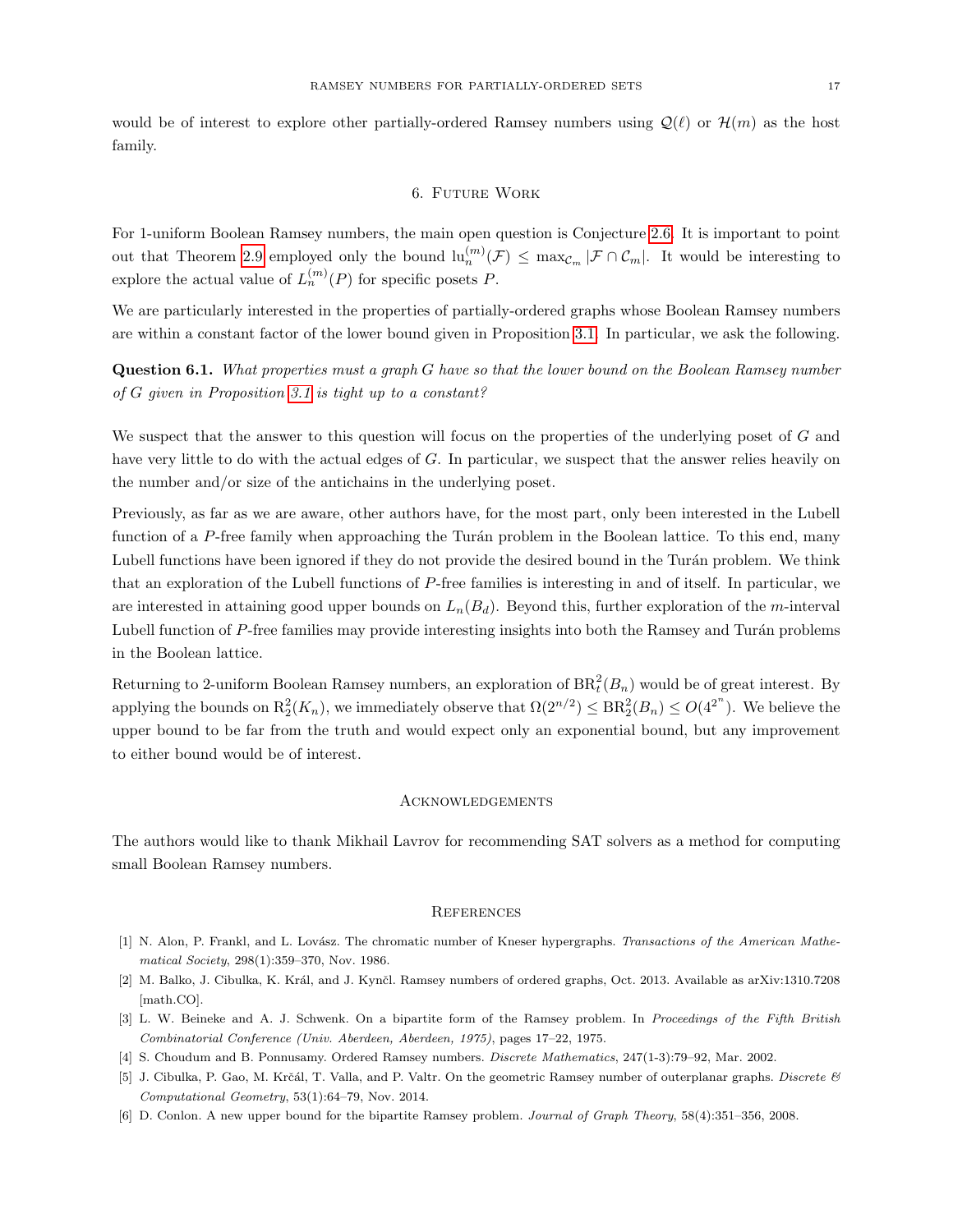would be of interest to explore other partially-ordered Ramsey numbers using  $\mathcal{Q}(\ell)$  or  $\mathcal{H}(m)$  as the host family.

#### 6. Future Work

For 1-uniform Boolean Ramsey numbers, the main open question is Conjecture [2.6.](#page-6-1) It is important to point out that Theorem [2.9](#page-7-1) employed only the bound  $\ln_n^{(m)}(\mathcal{F}) \leq \max_{\mathcal{C}_m} |\mathcal{F} \cap \mathcal{C}_m|$ . It would be interesting to explore the actual value of  $L_n^{(m)}(P)$  for specific posets P.

We are particularly interested in the properties of partially-ordered graphs whose Boolean Ramsey numbers are within a constant factor of the lower bound given in Proposition [3.1.](#page-8-1) In particular, we ask the following.

Question 6.1. What properties must a graph G have so that the lower bound on the Boolean Ramsey number of G given in Proposition [3.1](#page-8-1) is tight up to a constant?

We suspect that the answer to this question will focus on the properties of the underlying poset of G and have very little to do with the actual edges of G. In particular, we suspect that the answer relies heavily on the number and/or size of the antichains in the underlying poset.

Previously, as far as we are aware, other authors have, for the most part, only been interested in the Lubell function of a P-free family when approaching the Turán problem in the Boolean lattice. To this end, many Lubell functions have been ignored if they do not provide the desired bound in the Turán problem. We think that an exploration of the Lubell functions of P-free families is interesting in and of itself. In particular, we are interested in attaining good upper bounds on  $L_n(B_d)$ . Beyond this, further exploration of the m-interval Lubell function of P-free families may provide interesting insights into both the Ramsey and Turán problems in the Boolean lattice.

Returning to 2-uniform Boolean Ramsey numbers, an exploration of  $BR<sub>t</sub><sup>2</sup>(B<sub>n</sub>)$  would be of great interest. By applying the bounds on  $R_2^2(K_n)$ , we immediately observe that  $\Omega(2^{n/2}) \leq BR_2^2(B_n) \leq O(4^{2^n})$ . We believe the upper bound to be far from the truth and would expect only an exponential bound, but any improvement to either bound would be of interest.

#### Acknowledgements

The authors would like to thank Mikhail Lavrov for recommending SAT solvers as a method for computing small Boolean Ramsey numbers.

#### **REFERENCES**

- <span id="page-16-3"></span>[1] N. Alon, P. Frankl, and L. Lovász. The chromatic number of Kneser hypergraphs. Transactions of the American Mathematical Society, 298(1):359–370, Nov. 1986.
- <span id="page-16-0"></span>[2] M. Balko, J. Cibulka, K. Král, and J. Kynčl. Ramsey numbers of ordered graphs, Oct. 2013. Available as arXiv:1310.7208 [math.CO].
- <span id="page-16-4"></span>[3] L. W. Beineke and A. J. Schwenk. On a bipartite form of the Ramsey problem. In Proceedings of the Fifth British Combinatorial Conference (Univ. Aberdeen, Aberdeen, 1975), pages 17–22, 1975.
- <span id="page-16-1"></span>[4] S. Choudum and B. Ponnusamy. Ordered Ramsey numbers. Discrete Mathematics, 247(1-3):79–92, Mar. 2002.
- <span id="page-16-2"></span>[5] J. Cibulka, P. Gao, M. Krčál, T. Valla, and P. Valtr. On the geometric Ramsey number of outerplanar graphs. Discrete & Computational Geometry, 53(1):64–79, Nov. 2014.
- <span id="page-16-5"></span>[6] D. Conlon. A new upper bound for the bipartite Ramsey problem. Journal of Graph Theory, 58(4):351–356, 2008.